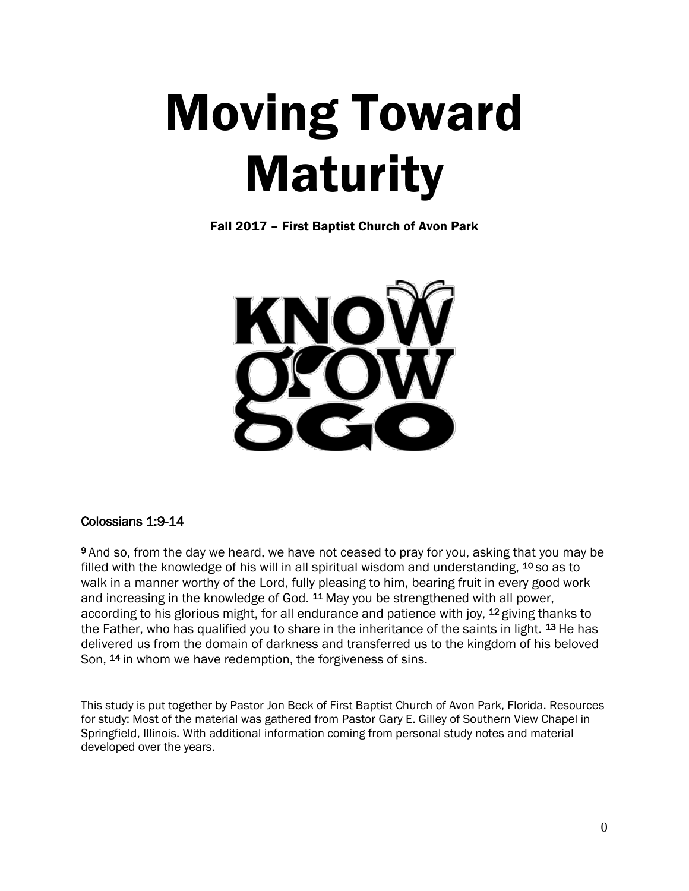# Moving Toward **Maturity**

Fall 2017 – First Baptist Church of Avon Park



#### Colossians 1:9-14

9 And so, from the day we heard, we have not ceased to pray for you, asking that you may be filled with the knowledge of his will in all spiritual wisdom and understanding,  $10$  so as to walk in a manner worthy of the Lord, fully pleasing to him, bearing fruit in every good work and increasing in the knowledge of God. <sup>11</sup>May you be strengthened with all power, according to his glorious might, for all endurance and patience with joy, <sup>12</sup> giving thanks to the Father, who has qualified you to share in the inheritance of the saints in light. <sup>13</sup> He has delivered us from the domain of darkness and transferred us to the kingdom of his beloved Son, <sup>14</sup> in whom we have redemption, the forgiveness of sins.

This study is put together by Pastor Jon Beck of First Baptist Church of Avon Park, Florida. Resources for study: Most of the material was gathered from Pastor Gary E. Gilley of Southern View Chapel in Springfield, Illinois. With additional information coming from personal study notes and material developed over the years.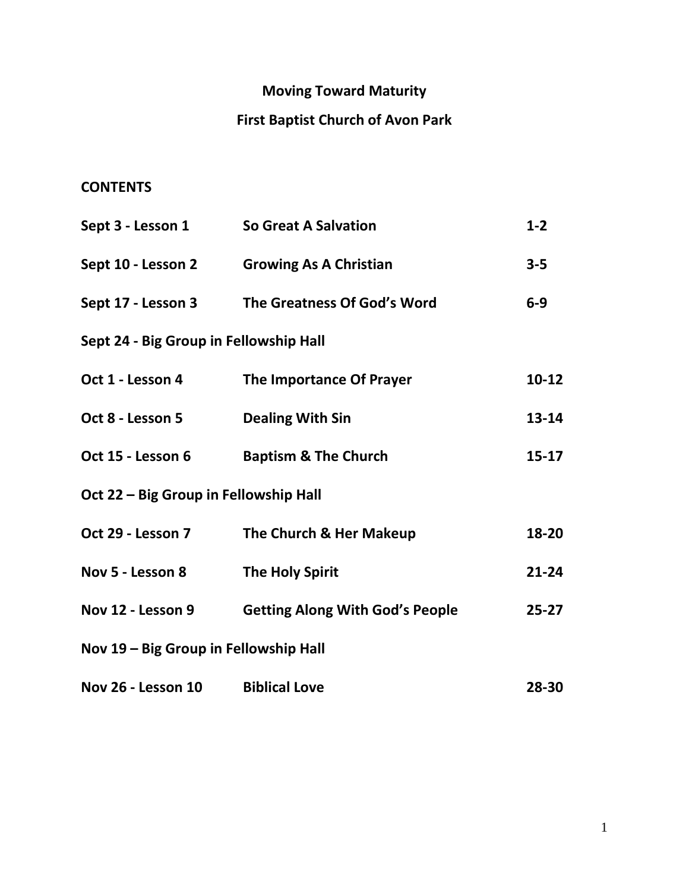# **Moving Toward Maturity**

# **First Baptist Church of Avon Park**

## **CONTENTS**

| Sept 3 - Lesson 1 So Great A Salvation |                                                   | $1 - 2$   |
|----------------------------------------|---------------------------------------------------|-----------|
|                                        | Sept 10 - Lesson 2 Growing As A Christian         | $3 - 5$   |
|                                        | Sept 17 - Lesson 3 The Greatness Of God's Word    | $6-9$     |
| Sept 24 - Big Group in Fellowship Hall |                                                   |           |
| Oct 1 - Lesson 4                       | The Importance Of Prayer                          | $10-12$   |
| Oct 8 - Lesson 5                       | <b>Dealing With Sin</b>                           | $13 - 14$ |
|                                        | Oct 15 - Lesson 6 Baptism & The Church            | $15 - 17$ |
| Oct 22 - Big Group in Fellowship Hall  |                                                   |           |
| Oct 29 - Lesson 7                      | The Church & Her Makeup                           | 18-20     |
| Nov 5 - Lesson 8                       | <b>The Holy Spirit</b>                            | $21 - 24$ |
|                                        | Nov 12 - Lesson 9 Getting Along With God's People | $25 - 27$ |
| Nov 19 – Big Group in Fellowship Hall  |                                                   |           |
| Nov 26 - Lesson 10                     | <b>Biblical Love</b>                              | 28-30     |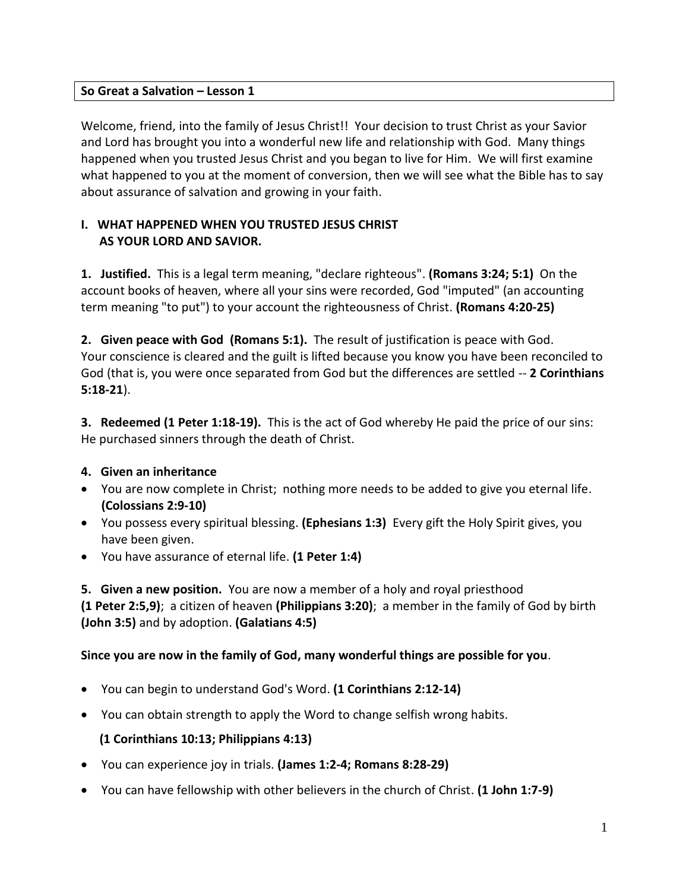## **So Great a Salvation – Lesson 1**

Welcome, friend, into the family of Jesus Christ!! Your decision to trust Christ as your Savior and Lord has brought you into a wonderful new life and relationship with God. Many things happened when you trusted Jesus Christ and you began to live for Him. We will first examine what happened to you at the moment of conversion, then we will see what the Bible has to say about assurance of salvation and growing in your faith.

## **I. WHAT HAPPENED WHEN YOU TRUSTED JESUS CHRIST AS YOUR LORD AND SAVIOR.**

**1. Justified.** This is a legal term meaning, "declare righteous". **(Romans 3:24; 5:1)** On the account books of heaven, where all your sins were recorded, God "imputed" (an accounting term meaning "to put") to your account the righteousness of Christ. **(Romans 4:20-25)**

**2. Given peace with God (Romans 5:1).** The result of justification is peace with God. Your conscience is cleared and the guilt is lifted because you know you have been reconciled to God (that is, you were once separated from God but the differences are settled -- **2 Corinthians 5:18-21**).

**3. Redeemed (1 Peter 1:18-19).** This is the act of God whereby He paid the price of our sins: He purchased sinners through the death of Christ.

## **4. Given an inheritance**

- You are now complete in Christ; nothing more needs to be added to give you eternal life. **(Colossians 2:9-10)**
- You possess every spiritual blessing. **(Ephesians 1:3)** Every gift the Holy Spirit gives, you have been given.
- You have assurance of eternal life. **(1 Peter 1:4)**

**5. Given a new position.** You are now a member of a holy and royal priesthood **(1 Peter 2:5,9)**; a citizen of heaven **(Philippians 3:20)**; a member in the family of God by birth **(John 3:5)** and by adoption. **(Galatians 4:5)**

## **Since you are now in the family of God, many wonderful things are possible for you**.

- You can begin to understand God's Word. **(1 Corinthians 2:12-14)**
- You can obtain strength to apply the Word to change selfish wrong habits.

#### **(1 Corinthians 10:13; Philippians 4:13)**

- You can experience joy in trials. **(James 1:2-4; Romans 8:28-29)**
- You can have fellowship with other believers in the church of Christ. **(1 John 1:7-9)**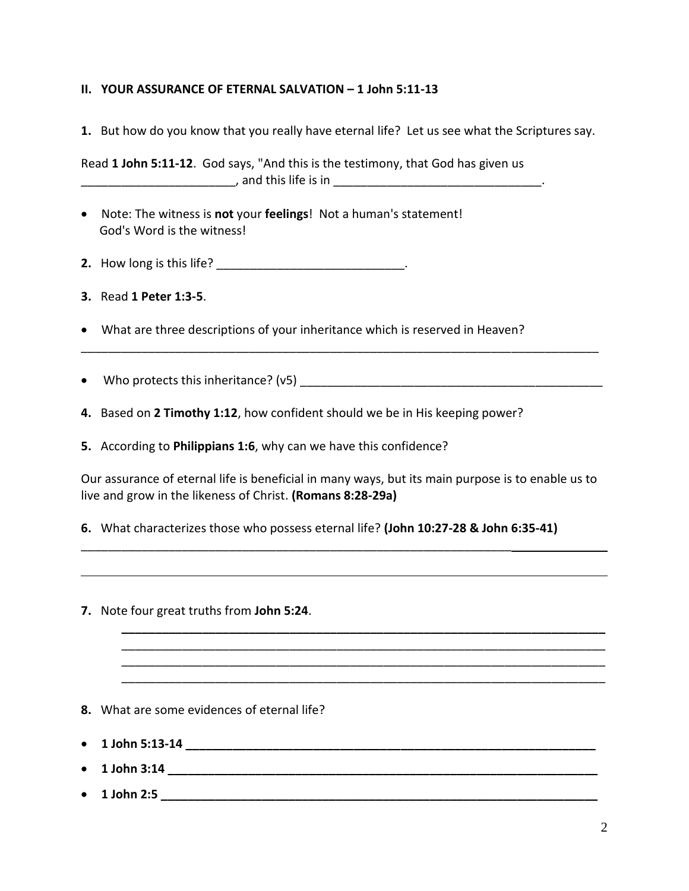## **II. YOUR ASSURANCE OF ETERNAL SALVATION – 1 John 5:11-13**

**1.** But how do you know that you really have eternal life? Let us see what the Scriptures say.

Read **1 John 5:11-12**. God says, "And this is the testimony, that God has given us \_\_\_\_\_\_\_\_\_\_\_\_\_\_\_\_\_\_\_\_\_\_\_, and this life is in \_\_\_\_\_\_\_\_\_\_\_\_\_\_\_\_\_\_\_\_\_\_\_\_\_\_\_\_\_\_\_.

- Note: The witness is **not** your **feelings**! Not a human's statement! God's Word is the witness!
- **2.** How long is this life? \_\_\_\_\_\_\_\_\_\_\_\_\_\_\_\_\_\_\_\_\_\_\_\_\_\_\_\_\_\_\_\_.
- **3.** Read **1 Peter 1:3-5**.
- What are three descriptions of your inheritance which is reserved in Heaven?
- Who protects this inheritance? (v5)  $\frac{1}{2}$  [200]  $\frac{1}{2}$  [200]  $\frac{1}{2}$  [200]  $\frac{1}{2}$  [200]  $\frac{1}{2}$  [200]  $\frac{1}{2}$  [200]  $\frac{1}{2}$  [200]  $\frac{1}{2}$  [200]  $\frac{1}{2}$  [200]  $\frac{1}{2}$  [200]  $\frac{1}{2}$  [200]  $\frac{1}{2$
- **4.** Based on **2 Timothy 1:12**, how confident should we be in His keeping power?
- **5.** According to **Philippians 1:6**, why can we have this confidence?

Our assurance of eternal life is beneficial in many ways, but its main purpose is to enable us to live and grow in the likeness of Christ. **(Romans 8:28-29a)**

**\_\_\_\_\_\_\_\_\_\_\_\_\_\_\_\_\_\_\_\_\_\_\_\_\_\_\_\_\_\_\_\_\_\_\_\_\_\_\_\_\_\_\_\_\_\_\_\_\_\_\_\_\_\_\_\_\_\_\_\_\_\_\_\_\_\_\_\_\_\_\_\_** \_\_\_\_\_\_\_\_\_\_\_\_\_\_\_\_\_\_\_\_\_\_\_\_\_\_\_\_\_\_\_\_\_\_\_\_\_\_\_\_\_\_\_\_\_\_\_\_\_\_\_\_\_\_\_\_\_\_\_\_\_\_\_\_\_\_\_\_\_\_\_\_ \_\_\_\_\_\_\_\_\_\_\_\_\_\_\_\_\_\_\_\_\_\_\_\_\_\_\_\_\_\_\_\_\_\_\_\_\_\_\_\_\_\_\_\_\_\_\_\_\_\_\_\_\_\_\_\_\_\_\_\_\_\_\_\_\_\_\_\_\_\_\_\_ \_\_\_\_\_\_\_\_\_\_\_\_\_\_\_\_\_\_\_\_\_\_\_\_\_\_\_\_\_\_\_\_\_\_\_\_\_\_\_\_\_\_\_\_\_\_\_\_\_\_\_\_\_\_\_\_\_\_\_\_\_\_\_\_\_\_\_\_\_\_\_\_

\_\_\_\_\_\_\_\_\_\_\_\_\_\_\_\_\_\_\_\_\_\_\_\_\_\_\_\_\_\_\_\_\_\_\_\_\_\_\_\_\_\_\_\_\_\_\_\_\_\_\_\_\_\_\_\_\_\_\_\_\_\_\_\_\_\_\_\_\_\_\_\_\_\_\_\_\_

**6.** What characterizes those who possess eternal life? **(John 10:27-28 & John 6:35-41)**

\_\_\_\_\_\_\_\_\_\_\_\_\_\_\_\_\_\_\_\_\_\_\_\_\_\_\_\_\_\_\_\_\_\_\_\_\_\_\_\_\_\_\_\_\_\_\_\_\_\_\_\_\_\_\_\_\_\_\_\_\_\_\_\_

- **7.** Note four great truths from **John 5:24**.
- **8.** What are some evidences of eternal life?
- **1 John 5:13-14 \_\_\_\_\_\_\_\_\_\_\_\_\_\_\_\_\_\_\_\_\_\_\_\_\_\_\_\_\_\_\_\_\_\_\_\_\_\_\_\_\_\_\_\_\_\_\_\_\_\_\_\_\_\_\_\_\_\_\_\_\_**
- **1 John 3:14 \_\_\_\_\_\_\_\_\_\_\_\_\_\_\_\_\_\_\_\_\_\_\_\_\_\_\_\_\_\_\_\_\_\_\_\_\_\_\_\_\_\_\_\_\_\_\_\_\_\_\_\_\_\_\_\_\_\_\_\_\_\_\_\_**
- **1 John 2:5 \_\_\_\_\_\_\_\_\_\_\_\_\_\_\_\_\_\_\_\_\_\_\_\_\_\_\_\_\_\_\_\_\_\_\_\_\_\_\_\_\_\_\_\_\_\_\_\_\_\_\_\_\_\_\_\_\_\_\_\_\_\_\_\_\_**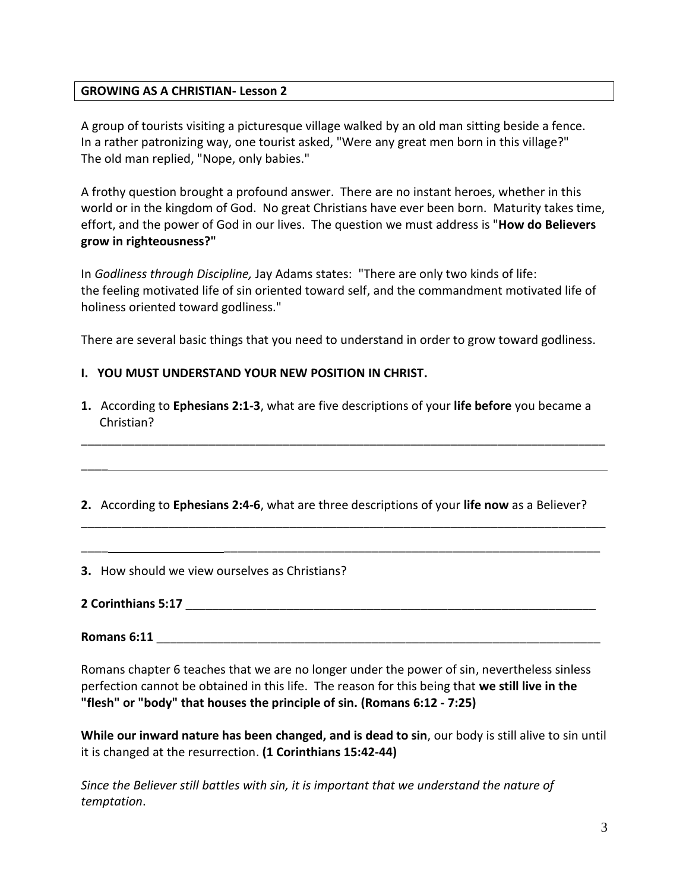#### **GROWING AS A CHRISTIAN- Lesson 2**

A group of tourists visiting a picturesque village walked by an old man sitting beside a fence. In a rather patronizing way, one tourist asked, "Were any great men born in this village?" The old man replied, "Nope, only babies."

A frothy question brought a profound answer. There are no instant heroes, whether in this world or in the kingdom of God. No great Christians have ever been born. Maturity takes time, effort, and the power of God in our lives. The question we must address is "**How do Believers grow in righteousness?"**

In *Godliness through Discipline,* Jay Adams states: "There are only two kinds of life: the feeling motivated life of sin oriented toward self, and the commandment motivated life of holiness oriented toward godliness."

There are several basic things that you need to understand in order to grow toward godliness.

### **I. YOU MUST UNDERSTAND YOUR NEW POSITION IN CHRIST.**

**1.** According to **Ephesians 2:1-3**, what are five descriptions of your **life before** you became a Christian?

\_\_\_\_\_\_\_\_\_\_\_\_\_\_\_\_\_\_\_\_\_\_\_\_\_\_\_\_\_\_\_\_\_\_\_\_\_\_\_\_\_\_\_\_\_\_\_\_\_\_\_\_\_\_\_\_\_\_\_\_\_\_\_\_\_\_\_\_\_\_\_\_\_\_\_\_\_\_

**2.** According to **Ephesians 2:4-6**, what are three descriptions of your **life now** as a Believer?

\_\_\_\_\_\_\_\_\_\_\_\_\_\_\_\_\_\_\_\_\_\_\_\_\_\_\_\_\_\_\_\_\_\_\_\_\_\_\_\_\_\_\_\_\_\_\_\_\_\_\_\_\_\_\_\_\_\_\_\_\_\_\_\_\_\_\_\_\_\_\_\_\_\_\_\_\_\_

\_\_\_\_ \_\_\_\_\_\_\_\_\_\_\_\_\_\_\_\_\_\_\_\_\_\_\_\_\_\_\_\_\_\_\_\_\_\_\_\_\_\_\_\_\_\_\_\_\_\_\_\_\_\_\_\_\_\_\_\_

**3.** How should we view ourselves as Christians?

**2 Corinthians 5:17** \_\_\_\_\_\_\_\_\_\_\_\_\_\_\_\_\_\_\_\_\_\_\_\_\_\_\_\_\_\_\_\_\_\_\_\_\_\_\_\_\_\_\_\_\_\_\_\_\_\_\_\_\_\_\_\_\_\_\_\_\_

 $\overline{\phantom{a}}$ 

**Romans** 6:11

Romans chapter 6 teaches that we are no longer under the power of sin, nevertheless sinless perfection cannot be obtained in this life. The reason for this being that **we still live in the "flesh" or "body" that houses the principle of sin. (Romans 6:12 - 7:25)**

**While our inward nature has been changed, and is dead to sin**, our body is still alive to sin until it is changed at the resurrection. **(1 Corinthians 15:42-44)**

*Since the Believer still battles with sin, it is important that we understand the nature of temptation*.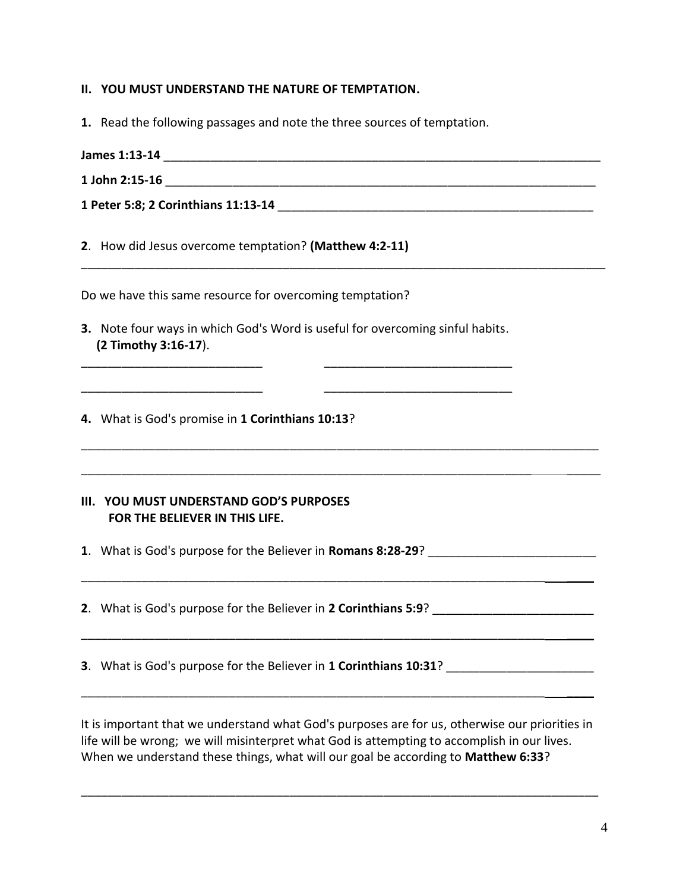- **II. YOU MUST UNDERSTAND THE NATURE OF TEMPTATION.**
- **1.** Read the following passages and note the three sources of temptation.
- **James 1:13-14 Designed 2008** *Lease 2008 Lease 2008 Lease 2008* **<b>***Lease 2008 Lease 2008 Lease 2008* **1 John 2:15-16** \_\_\_\_\_\_\_\_\_\_\_\_\_\_\_\_\_\_\_\_\_\_\_\_\_\_\_\_\_\_\_\_\_\_\_\_\_\_\_\_\_\_\_\_\_\_\_\_\_\_\_\_\_\_\_\_\_\_\_\_\_\_\_\_

\_\_\_\_\_\_\_\_\_\_\_\_\_\_\_\_\_\_\_\_\_\_\_\_\_\_\_\_\_\_\_\_\_\_\_\_\_\_\_\_\_\_\_\_\_\_\_\_\_\_\_\_\_\_\_\_\_\_\_\_\_\_\_\_\_\_\_\_\_\_\_\_\_\_\_\_\_\_

\_\_\_\_\_\_\_\_\_\_\_\_\_\_\_\_\_\_\_\_\_\_\_\_\_\_\_\_\_\_\_\_\_\_\_\_\_\_\_\_\_\_\_\_\_\_\_\_\_\_\_\_\_\_\_\_\_\_\_\_\_\_\_\_\_\_\_\_\_\_\_\_\_\_\_\_\_

\_\_\_\_\_\_\_\_\_\_\_\_\_\_\_\_\_\_\_\_\_\_\_\_\_\_\_\_\_\_\_\_\_\_\_\_\_\_\_\_\_\_\_\_\_\_\_\_\_\_\_\_\_\_\_\_\_\_\_\_\_\_\_\_\_\_\_ \_\_\_\_\_

\_\_\_\_\_\_\_\_\_\_\_\_\_\_\_\_\_\_\_\_\_\_\_\_\_\_\_\_\_\_\_\_\_\_\_\_\_\_\_\_\_\_\_\_\_\_\_\_\_\_\_\_\_\_\_\_\_\_\_\_\_\_\_\_\_\_\_\_\_ \_\_\_\_

\_\_\_\_\_\_\_\_\_\_\_\_\_\_\_\_\_\_\_\_\_\_\_\_\_\_\_\_\_\_\_\_\_\_\_\_\_\_\_\_\_\_\_\_\_\_\_\_\_\_\_\_\_\_\_\_\_\_\_\_\_\_\_\_\_\_\_\_\_ \_\_\_\_

- **1 Peter 5:8; 2 Corinthians 11:13-14** \_\_\_\_\_\_\_\_\_\_\_\_\_\_\_\_\_\_\_\_\_\_\_\_\_\_\_\_\_\_\_\_\_\_\_\_\_\_\_\_\_\_\_\_\_\_\_
- **2**. How did Jesus overcome temptation? **(Matthew 4:2-11)**

Do we have this same resource for overcoming temptation?

**3.** Note four ways in which God's Word is useful for overcoming sinful habits.  **(2 Timothy 3:16-17**).

\_\_\_\_\_\_\_\_\_\_\_\_\_\_\_\_\_\_\_\_\_\_\_\_\_\_\_ \_\_\_\_\_\_\_\_\_\_\_\_\_\_\_\_\_\_\_\_\_\_\_\_\_\_\_\_

\_\_\_\_\_\_\_\_\_\_\_\_\_\_\_\_\_\_\_\_\_\_\_\_\_\_\_ \_\_\_\_\_\_\_\_\_\_\_\_\_\_\_\_\_\_\_\_\_\_\_\_\_\_\_\_

**4.** What is God's promise in **1 Corinthians 10:13**?

#### **III. YOU MUST UNDERSTAND GOD'S PURPOSES FOR THE BELIEVER IN THIS LIFE.**

**1.** What is God's purpose for the Believer in **Romans 8:28-29**?

**2**. What is God's purpose for the Believer in **2 Corinthians 5:9**? \_\_\_\_\_\_\_\_\_\_\_\_\_\_\_\_\_\_\_\_\_\_\_\_

**3**. What is God's purpose for the Believer in **1 Corinthians 10:31**? \_\_\_\_\_\_\_\_\_\_\_\_\_\_\_\_\_\_\_\_\_\_

It is important that we understand what God's purposes are for us, otherwise our priorities in life will be wrong; we will misinterpret what God is attempting to accomplish in our lives. When we understand these things, what will our goal be according to **Matthew 6:33**?

\_\_\_\_\_\_\_\_\_\_\_\_\_\_\_\_\_\_\_\_\_\_\_\_\_\_\_\_\_\_\_\_\_\_\_\_\_\_\_\_\_\_\_\_\_\_\_\_\_\_\_\_\_\_\_\_\_\_\_\_\_\_\_\_\_\_\_\_\_\_\_\_\_\_\_\_\_

\_\_\_\_\_\_\_\_\_\_\_\_\_\_\_\_\_\_\_\_\_\_\_\_\_\_\_\_\_\_\_\_\_\_\_\_\_\_\_\_\_\_\_\_\_\_\_\_\_\_\_\_\_\_\_\_\_\_\_\_\_\_\_\_\_\_\_\_\_ \_\_\_\_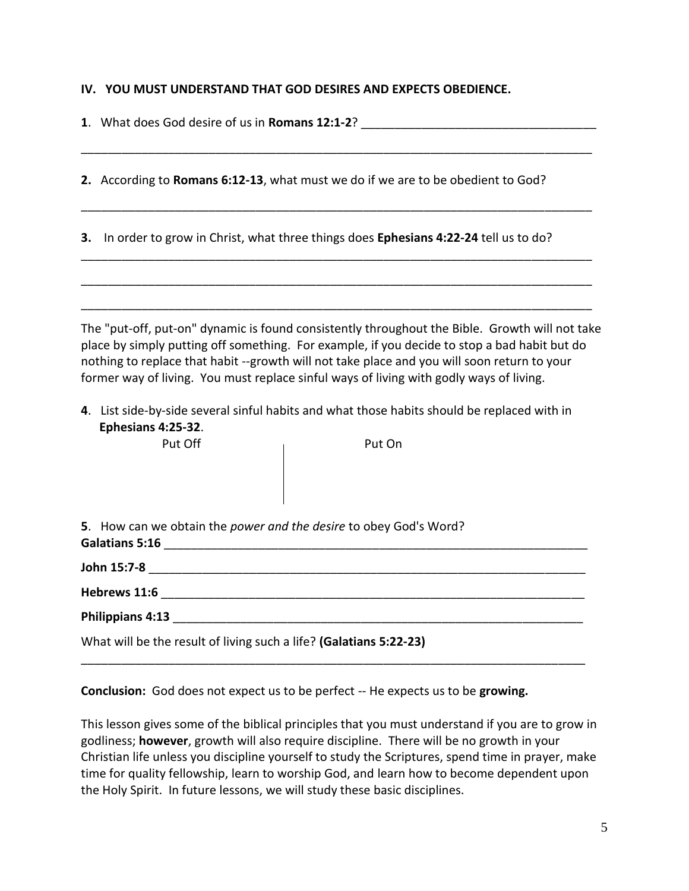#### **IV. YOU MUST UNDERSTAND THAT GOD DESIRES AND EXPECTS OBEDIENCE.**

|    | 1. What does God desire of us in Romans 12:1-2? ________________________________                                                                                                                                                                                                                                                                                                                                                                                                                                                   |
|----|------------------------------------------------------------------------------------------------------------------------------------------------------------------------------------------------------------------------------------------------------------------------------------------------------------------------------------------------------------------------------------------------------------------------------------------------------------------------------------------------------------------------------------|
|    | 2. According to Romans 6:12-13, what must we do if we are to be obedient to God?                                                                                                                                                                                                                                                                                                                                                                                                                                                   |
| 3. | In order to grow in Christ, what three things does Ephesians 4:22-24 tell us to do?                                                                                                                                                                                                                                                                                                                                                                                                                                                |
|    | The "put-off, put-on" dynamic is found consistently throughout the Bible. Growth will not take<br>place by simply putting off something. For example, if you decide to stop a bad habit but do<br>nothing to replace that habit --growth will not take place and you will soon return to your<br>former way of living. You must replace sinful ways of living with godly ways of living.<br>4. List side-by-side several sinful habits and what those habits should be replaced with in<br>Ephesians 4:25-32.<br>Put Off<br>Put On |
|    |                                                                                                                                                                                                                                                                                                                                                                                                                                                                                                                                    |
|    | 5. How can we obtain the power and the desire to obey God's Word?                                                                                                                                                                                                                                                                                                                                                                                                                                                                  |
|    |                                                                                                                                                                                                                                                                                                                                                                                                                                                                                                                                    |
|    |                                                                                                                                                                                                                                                                                                                                                                                                                                                                                                                                    |
|    |                                                                                                                                                                                                                                                                                                                                                                                                                                                                                                                                    |
|    | What will be the result of living such a life? (Galatians 5:22-23)                                                                                                                                                                                                                                                                                                                                                                                                                                                                 |

**Conclusion:** God does not expect us to be perfect -- He expects us to be **growing.**

This lesson gives some of the biblical principles that you must understand if you are to grow in godliness; **however**, growth will also require discipline. There will be no growth in your Christian life unless you discipline yourself to study the Scriptures, spend time in prayer, make time for quality fellowship, learn to worship God, and learn how to become dependent upon the Holy Spirit. In future lessons, we will study these basic disciplines.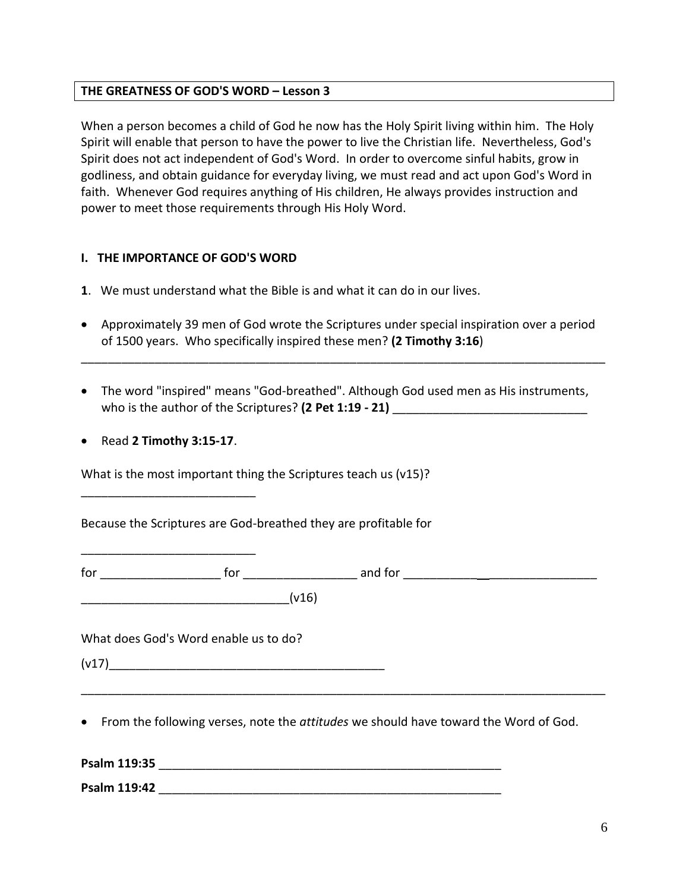#### **THE GREATNESS OF GOD'S WORD – Lesson 3**

When a person becomes a child of God he now has the Holy Spirit living within him. The Holy Spirit will enable that person to have the power to live the Christian life. Nevertheless, God's Spirit does not act independent of God's Word. In order to overcome sinful habits, grow in godliness, and obtain guidance for everyday living, we must read and act upon God's Word in faith. Whenever God requires anything of His children, He always provides instruction and power to meet those requirements through His Holy Word.

#### **I. THE IMPORTANCE OF GOD'S WORD**

- **1**. We must understand what the Bible is and what it can do in our lives.
- Approximately 39 men of God wrote the Scriptures under special inspiration over a period of 1500 years. Who specifically inspired these men? **(2 Timothy 3:16**)

\_\_\_\_\_\_\_\_\_\_\_\_\_\_\_\_\_\_\_\_\_\_\_\_\_\_\_\_\_\_\_\_\_\_\_\_\_\_\_\_\_\_\_\_\_\_\_\_\_\_\_\_\_\_\_\_\_\_\_\_\_\_\_\_\_\_\_\_\_\_\_\_\_\_\_\_\_\_

- The word "inspired" means "God-breathed". Although God used men as His instruments, who is the author of the Scriptures? (2 Pet 1:19 - 21)
- Read **2 Timothy 3:15-17**.

\_\_\_\_\_\_\_\_\_\_\_\_\_\_\_\_\_\_\_\_\_\_\_\_\_\_

\_\_\_\_\_\_\_\_\_\_\_\_\_\_\_\_\_\_\_\_\_\_\_\_\_\_

What is the most important thing the Scriptures teach us (v15)?

Because the Scriptures are God-breathed they are profitable for

 $\frac{1}{2}$  for  $\frac{1}{2}$  and for  $\frac{1}{2}$  and for  $\frac{1}{2}$   $\frac{1}{2}$   $\frac{1}{2}$   $\frac{1}{2}$   $\frac{1}{2}$   $\frac{1}{2}$   $\frac{1}{2}$   $\frac{1}{2}$   $\frac{1}{2}$   $\frac{1}{2}$   $\frac{1}{2}$   $\frac{1}{2}$   $\frac{1}{2}$   $\frac{1}{2}$   $\frac{1}{2}$   $\frac{1}{2}$   $\frac{1}{2}$ 

 $(v16)$ 

What does God's Word enable us to do?

(v17)\_\_\_\_\_\_\_\_\_\_\_\_\_\_\_\_\_\_\_\_\_\_\_\_\_\_\_\_\_\_\_\_\_\_\_\_\_\_\_\_\_

• From the following verses, note the *attitudes* we should have toward the Word of God.

\_\_\_\_\_\_\_\_\_\_\_\_\_\_\_\_\_\_\_\_\_\_\_\_\_\_\_\_\_\_\_\_\_\_\_\_\_\_\_\_\_\_\_\_\_\_\_\_\_\_\_\_\_\_\_\_\_\_\_\_\_\_\_\_\_\_\_\_\_\_\_\_\_\_\_\_\_\_

**Psalm 119:35** \_\_\_\_\_\_\_\_\_\_\_\_\_\_\_\_\_\_\_\_\_\_\_\_\_\_\_\_\_\_\_\_\_\_\_\_\_\_\_\_\_\_\_\_\_\_\_\_\_\_\_

**Psalm 119:42 Designed as a set of the set of the set of the set of the set of the set of the set of the set of the set of the set of the set of the set of the set of the set of the set of the set of the set of the set o**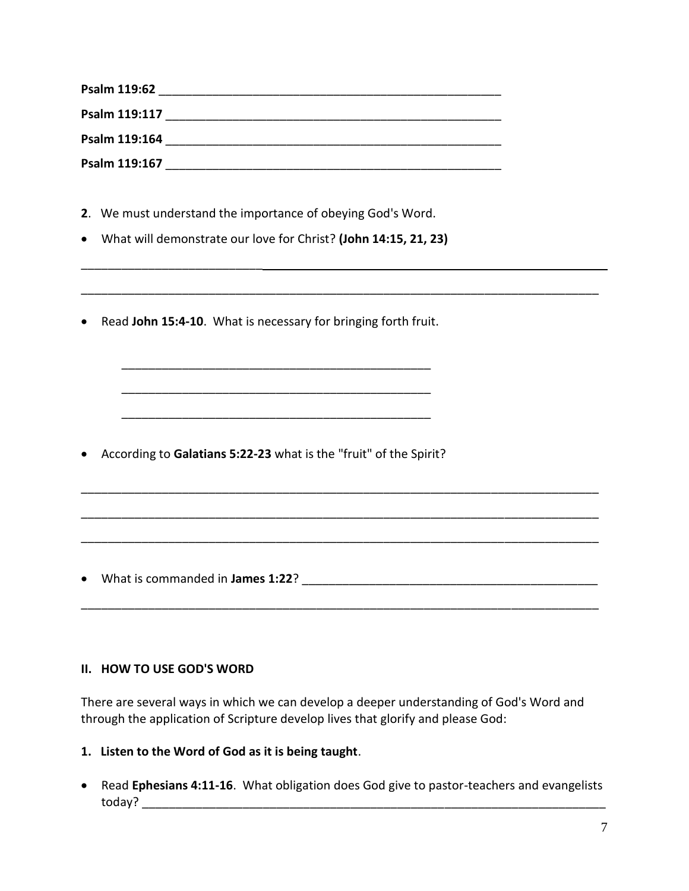| Psalm 119:62  |  |
|---------------|--|
| Psalm 119:117 |  |
| Psalm 119:164 |  |
| Psalm 119:167 |  |

\_\_\_\_\_\_\_\_\_\_\_\_\_\_\_\_\_\_\_\_\_\_\_\_\_\_\_\_\_\_\_\_\_\_\_\_\_\_\_\_\_\_\_\_\_\_\_\_\_\_\_\_\_\_\_\_\_\_\_\_\_\_\_\_\_\_\_\_\_\_\_\_\_\_\_\_\_

\_\_\_\_\_\_\_\_\_\_\_\_\_\_\_\_\_\_\_\_\_\_\_\_\_\_\_\_\_\_\_\_\_\_\_\_\_\_\_\_\_\_\_\_\_\_\_\_\_\_\_\_\_\_\_\_\_\_\_\_\_\_\_\_\_\_\_\_\_\_\_\_\_\_\_\_\_

\_\_\_\_\_\_\_\_\_\_\_\_\_\_\_\_\_\_\_\_\_\_\_\_\_\_\_\_\_\_\_\_\_\_\_\_\_\_\_\_\_\_\_\_\_\_\_\_\_\_\_\_\_\_\_\_\_\_\_\_\_\_\_\_\_\_\_\_\_\_\_\_\_\_\_\_\_

\_\_\_\_\_\_\_\_\_\_\_\_\_\_\_\_\_\_\_\_\_\_\_\_\_\_\_\_\_\_\_\_\_\_\_\_\_\_\_\_\_\_\_\_\_\_\_\_\_\_\_\_\_\_\_\_\_\_\_\_\_\_\_\_\_\_\_\_\_\_\_\_\_\_\_\_\_

\_\_\_\_\_\_\_\_\_\_\_\_\_\_\_\_\_\_\_\_\_\_\_\_\_\_\_\_\_\_\_\_\_\_\_\_\_\_\_\_\_\_\_\_\_\_\_\_\_\_\_\_\_\_\_\_\_\_\_\_\_\_\_\_\_\_\_\_\_\_\_\_\_\_\_\_\_

- **2**. We must understand the importance of obeying God's Word.
- What will demonstrate our love for Christ? **(John 14:15, 21, 23)**
- Read **John 15:4-10**. What is necessary for bringing forth fruit.

\_\_\_\_\_\_\_\_\_\_\_\_\_\_\_\_\_\_\_\_\_\_\_\_\_\_\_\_\_\_\_\_\_\_\_\_\_\_\_\_\_\_\_\_\_\_

\_\_\_\_\_\_\_\_\_\_\_\_\_\_\_\_\_\_\_\_\_\_\_\_\_\_\_\_\_\_\_\_\_\_\_\_\_\_\_\_\_\_\_\_\_\_

\_\_\_\_\_\_\_\_\_\_\_\_\_\_\_\_\_\_\_\_\_\_\_\_\_\_\_\_\_\_\_\_\_\_\_\_\_\_\_\_\_\_\_\_\_\_

• According to **Galatians 5:22-23** what is the "fruit" of the Spirit?

• What is commanded in **James 1:22**? \_\_\_\_\_\_\_\_\_\_\_\_\_\_\_\_\_\_\_\_\_\_\_\_\_\_\_\_\_\_\_\_\_\_\_\_\_\_\_\_\_\_\_\_

\_\_\_\_\_\_\_\_\_\_\_\_\_\_\_\_\_\_\_\_\_\_\_\_\_\_\_

#### **II. HOW TO USE GOD'S WORD**

There are several ways in which we can develop a deeper understanding of God's Word and through the application of Scripture develop lives that glorify and please God:

- **1. Listen to the Word of God as it is being taught**.
- Read **Ephesians 4:11-16**. What obligation does God give to pastor-teachers and evangelists today? \_\_\_\_\_\_\_\_\_\_\_\_\_\_\_\_\_\_\_\_\_\_\_\_\_\_\_\_\_\_\_\_\_\_\_\_\_\_\_\_\_\_\_\_\_\_\_\_\_\_\_\_\_\_\_\_\_\_\_\_\_\_\_\_\_\_\_\_\_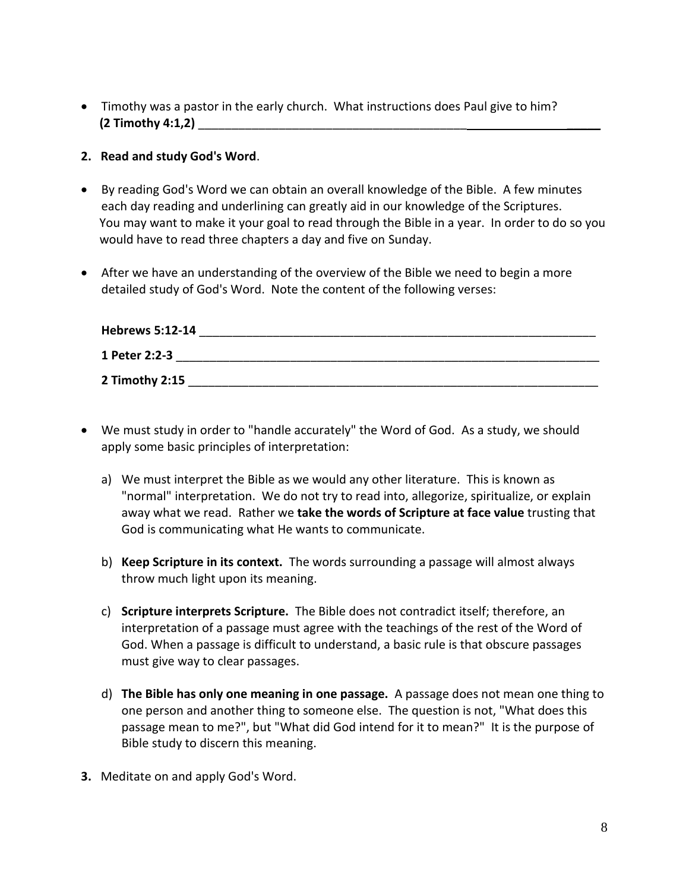• Timothy was a pastor in the early church. What instructions does Paul give to him? **(2 Timothy 4:1,2)** \_\_\_\_\_\_\_\_\_\_\_\_\_\_\_\_\_\_\_\_\_\_\_\_\_\_\_\_\_\_\_\_\_\_\_\_\_\_\_\_ \_\_\_\_\_

### **2. Read and study God's Word**.

- By reading God's Word we can obtain an overall knowledge of the Bible. A few minutes each day reading and underlining can greatly aid in our knowledge of the Scriptures. You may want to make it your goal to read through the Bible in a year. In order to do so you would have to read three chapters a day and five on Sunday.
- After we have an understanding of the overview of the Bible we need to begin a more detailed study of God's Word. Note the content of the following verses:

| <b>Hebrews 5:12-14</b> |  |  |
|------------------------|--|--|
| 1 Peter 2:2-3          |  |  |
| 2 Timothy 2:15         |  |  |

- We must study in order to "handle accurately" the Word of God. As a study, we should apply some basic principles of interpretation:
	- a) We must interpret the Bible as we would any other literature. This is known as "normal" interpretation. We do not try to read into, allegorize, spiritualize, or explain away what we read. Rather we **take the words of Scripture at face value** trusting that God is communicating what He wants to communicate.
	- b) **Keep Scripture in its context.** The words surrounding a passage will almost always throw much light upon its meaning.
	- c) **Scripture interprets Scripture.** The Bible does not contradict itself; therefore, an interpretation of a passage must agree with the teachings of the rest of the Word of God. When a passage is difficult to understand, a basic rule is that obscure passages must give way to clear passages.
	- d) **The Bible has only one meaning in one passage.** A passage does not mean one thing to one person and another thing to someone else. The question is not, "What does this passage mean to me?", but "What did God intend for it to mean?" It is the purpose of Bible study to discern this meaning.
- **3.** Meditate on and apply God's Word.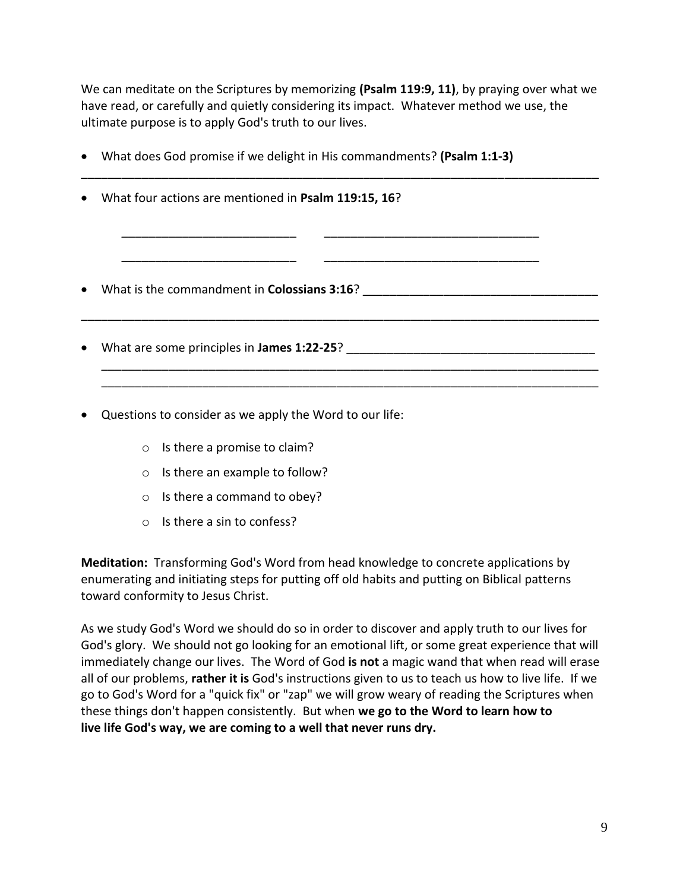We can meditate on the Scriptures by memorizing **(Psalm 119:9, 11)**, by praying over what we have read, or carefully and quietly considering its impact. Whatever method we use, the ultimate purpose is to apply God's truth to our lives.

\_\_\_\_\_\_\_\_\_\_\_\_\_\_\_\_\_\_\_\_\_\_\_\_\_\_\_\_\_\_\_\_\_\_\_\_\_\_\_\_\_\_\_\_\_\_\_\_\_\_\_\_\_\_\_\_\_\_\_\_\_\_\_\_\_\_\_\_\_\_\_\_\_\_\_\_\_

\_\_\_\_\_\_\_\_\_\_\_\_\_\_\_\_\_\_\_\_\_\_\_\_\_\_ \_\_\_\_\_\_\_\_\_\_\_\_\_\_\_\_\_\_\_\_\_\_\_\_\_\_\_\_\_\_\_\_

\_\_\_\_\_\_\_\_\_\_\_\_\_\_\_\_\_\_\_\_\_\_\_\_\_\_ \_\_\_\_\_\_\_\_\_\_\_\_\_\_\_\_\_\_\_\_\_\_\_\_\_\_\_\_\_\_\_\_

\_\_\_\_\_\_\_\_\_\_\_\_\_\_\_\_\_\_\_\_\_\_\_\_\_\_\_\_\_\_\_\_\_\_\_\_\_\_\_\_\_\_\_\_\_\_\_\_\_\_\_\_\_\_\_\_\_\_\_\_\_\_\_\_\_\_\_\_\_\_\_\_\_\_\_\_\_

\_\_\_\_\_\_\_\_\_\_\_\_\_\_\_\_\_\_\_\_\_\_\_\_\_\_\_\_\_\_\_\_\_\_\_\_\_\_\_\_\_\_\_\_\_\_\_\_\_\_\_\_\_\_\_\_\_\_\_\_\_\_\_\_\_\_\_\_\_\_\_\_\_\_ \_\_\_\_\_\_\_\_\_\_\_\_\_\_\_\_\_\_\_\_\_\_\_\_\_\_\_\_\_\_\_\_\_\_\_\_\_\_\_\_\_\_\_\_\_\_\_\_\_\_\_\_\_\_\_\_\_\_\_\_\_\_\_\_\_\_\_\_\_\_\_\_\_\_

- What does God promise if we delight in His commandments? **(Psalm 1:1-3)**
- What four actions are mentioned in **Psalm 119:15, 16**?

• What is the commandment in **Colossians 3:16**?

- What are some principles in **James 1:22-25**?
- Questions to consider as we apply the Word to our life:
	- o Is there a promise to claim?
	- o Is there an example to follow?
	- o Is there a command to obey?
	- o Is there a sin to confess?

**Meditation:** Transforming God's Word from head knowledge to concrete applications by enumerating and initiating steps for putting off old habits and putting on Biblical patterns toward conformity to Jesus Christ.

As we study God's Word we should do so in order to discover and apply truth to our lives for God's glory. We should not go looking for an emotional lift, or some great experience that will immediately change our lives. The Word of God **is not** a magic wand that when read will erase all of our problems, **rather it is** God's instructions given to us to teach us how to live life. If we go to God's Word for a "quick fix" or "zap" we will grow weary of reading the Scriptures when these things don't happen consistently. But when **we go to the Word to learn how to live life God's way, we are coming to a well that never runs dry.**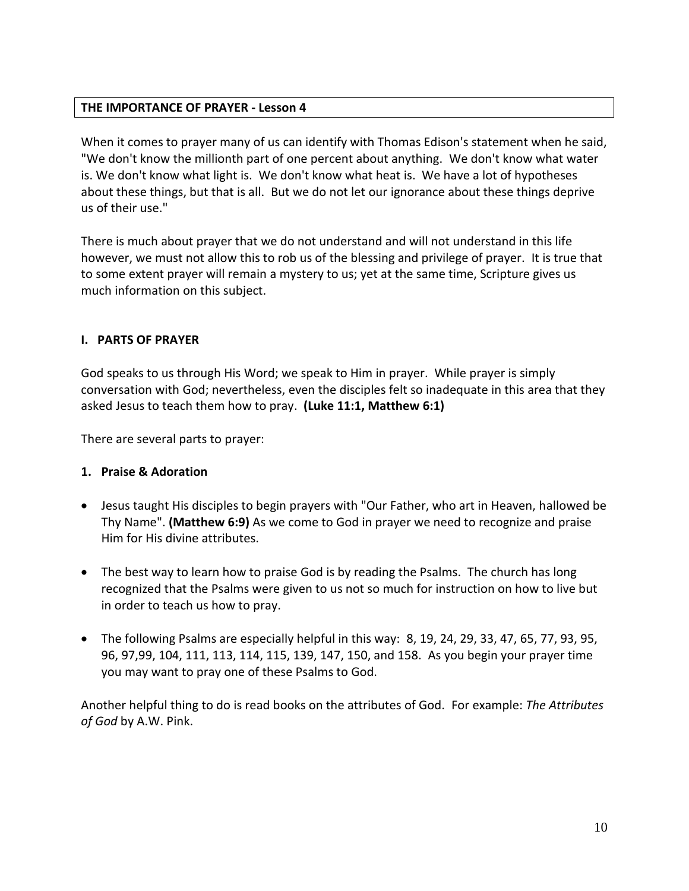## **THE IMPORTANCE OF PRAYER - Lesson 4**

When it comes to prayer many of us can identify with Thomas Edison's statement when he said, "We don't know the millionth part of one percent about anything. We don't know what water is. We don't know what light is. We don't know what heat is. We have a lot of hypotheses about these things, but that is all. But we do not let our ignorance about these things deprive us of their use."

There is much about prayer that we do not understand and will not understand in this life however, we must not allow this to rob us of the blessing and privilege of prayer. It is true that to some extent prayer will remain a mystery to us; yet at the same time, Scripture gives us much information on this subject.

### **I. PARTS OF PRAYER**

God speaks to us through His Word; we speak to Him in prayer. While prayer is simply conversation with God; nevertheless, even the disciples felt so inadequate in this area that they asked Jesus to teach them how to pray. **(Luke 11:1, Matthew 6:1)**

There are several parts to prayer:

## **1. Praise & Adoration**

- Jesus taught His disciples to begin prayers with "Our Father, who art in Heaven, hallowed be Thy Name". **(Matthew 6:9)** As we come to God in prayer we need to recognize and praise Him for His divine attributes.
- The best way to learn how to praise God is by reading the Psalms. The church has long recognized that the Psalms were given to us not so much for instruction on how to live but in order to teach us how to pray.
- The following Psalms are especially helpful in this way: 8, 19, 24, 29, 33, 47, 65, 77, 93, 95, 96, 97,99, 104, 111, 113, 114, 115, 139, 147, 150, and 158. As you begin your prayer time you may want to pray one of these Psalms to God.

Another helpful thing to do is read books on the attributes of God. For example: *The Attributes of God* by A.W. Pink.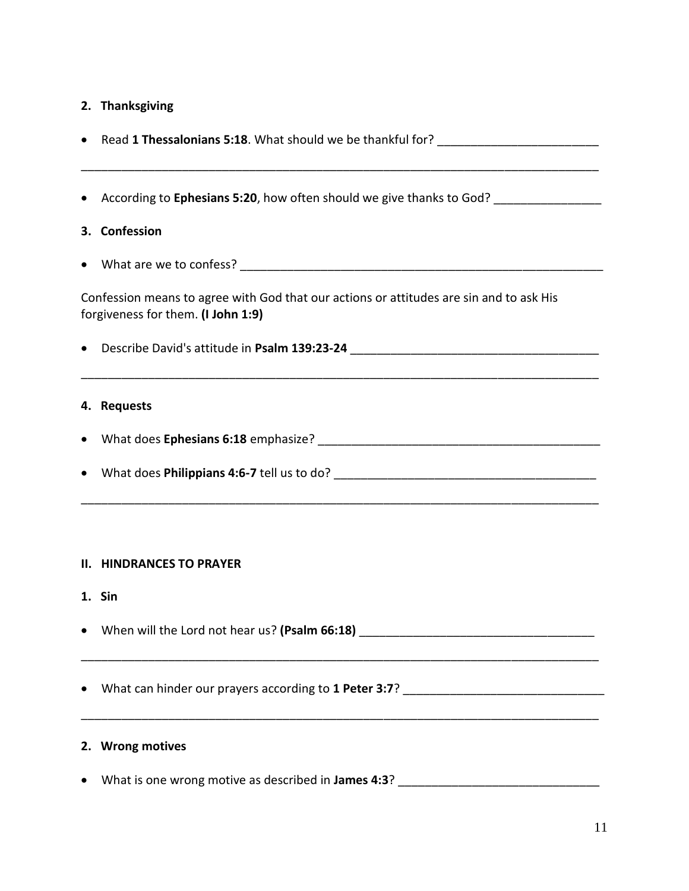## **2. Thanksgiving**

| • According to Ephesians 5:20, how often should we give thanks to God? ________________                                       |
|-------------------------------------------------------------------------------------------------------------------------------|
| 3. Confession                                                                                                                 |
|                                                                                                                               |
| Confession means to agree with God that our actions or attitudes are sin and to ask His<br>forgiveness for them. (I John 1:9) |
| • Describe David's attitude in Psalm 139:23-24 _________________________________                                              |
| 4. Requests                                                                                                                   |
|                                                                                                                               |
|                                                                                                                               |
|                                                                                                                               |
|                                                                                                                               |

### **II. HINDRANCES TO PRAYER**

**1. Sin**

• When will the Lord not hear us? (Psalm 66:18) \_\_\_\_\_\_\_\_\_\_\_\_\_\_\_\_\_\_\_\_\_\_\_\_\_\_\_\_\_\_\_\_\_

\_\_\_\_\_\_\_\_\_\_\_\_\_\_\_\_\_\_\_\_\_\_\_\_\_\_\_\_\_\_\_\_\_\_\_\_\_\_\_\_\_\_\_\_\_\_\_\_\_\_\_\_\_\_\_\_\_\_\_\_\_\_\_\_\_\_\_\_\_\_\_\_\_\_\_\_\_

\_\_\_\_\_\_\_\_\_\_\_\_\_\_\_\_\_\_\_\_\_\_\_\_\_\_\_\_\_\_\_\_\_\_\_\_\_\_\_\_\_\_\_\_\_\_\_\_\_\_\_\_\_\_\_\_\_\_\_\_\_\_\_\_\_\_\_\_\_\_\_\_\_\_\_\_\_

• What can hinder our prayers according to **1 Peter 3:7**? \_\_\_\_\_\_\_\_\_\_\_\_\_\_\_\_\_\_\_\_\_\_\_\_\_\_\_\_\_\_

## **2. Wrong motives**

• What is one wrong motive as described in **James 4:3**? \_\_\_\_\_\_\_\_\_\_\_\_\_\_\_\_\_\_\_\_\_\_\_\_\_\_\_\_\_\_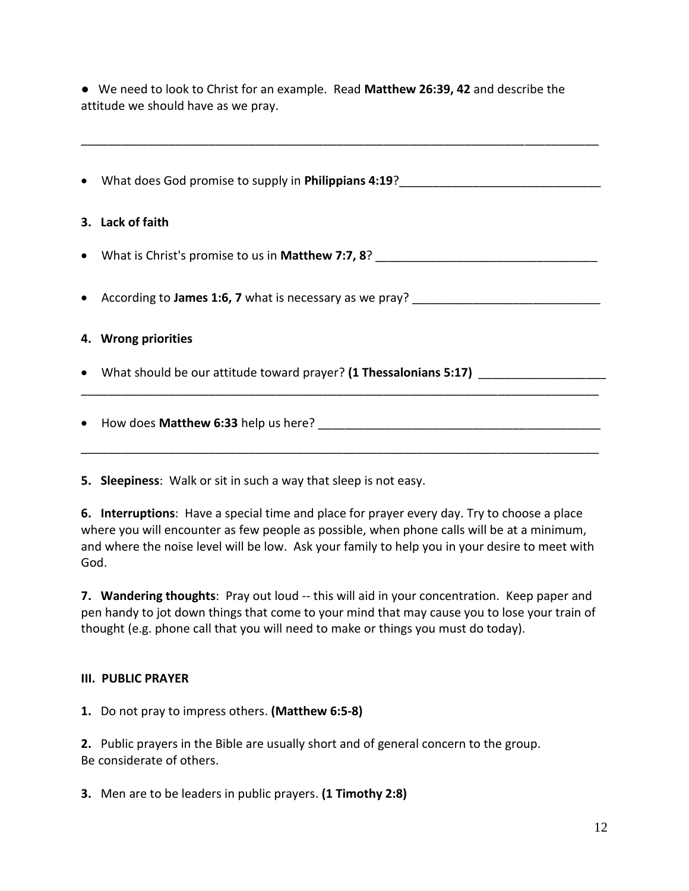● We need to look to Christ for an example. Read **Matthew 26:39, 42** and describe the attitude we should have as we pray.

\_\_\_\_\_\_\_\_\_\_\_\_\_\_\_\_\_\_\_\_\_\_\_\_\_\_\_\_\_\_\_\_\_\_\_\_\_\_\_\_\_\_\_\_\_\_\_\_\_\_\_\_\_\_\_\_\_\_\_\_\_\_\_\_\_\_\_\_\_\_\_\_\_\_\_\_\_

| • What does God promise to supply in Philippians 4:19?                           |
|----------------------------------------------------------------------------------|
| 3. Lack of faith                                                                 |
| • What is Christ's promise to us in Matthew 7:7, 8? ____________________________ |
| • According to James 1:6, 7 what is necessary as we pray? ______________________ |
| 4. Wrong priorities                                                              |
| • What should be our attitude toward prayer? (1 Thessalonians 5:17)              |
|                                                                                  |

**5. Sleepiness**: Walk or sit in such a way that sleep is not easy.

**6. Interruptions**: Have a special time and place for prayer every day. Try to choose a place where you will encounter as few people as possible, when phone calls will be at a minimum, and where the noise level will be low. Ask your family to help you in your desire to meet with God.

**7. Wandering thoughts**: Pray out loud -- this will aid in your concentration. Keep paper and pen handy to jot down things that come to your mind that may cause you to lose your train of thought (e.g. phone call that you will need to make or things you must do today).

## **III. PUBLIC PRAYER**

**1.** Do not pray to impress others. **(Matthew 6:5-8)**

**2.** Public prayers in the Bible are usually short and of general concern to the group. Be considerate of others.

**3.** Men are to be leaders in public prayers. **(1 Timothy 2:8)**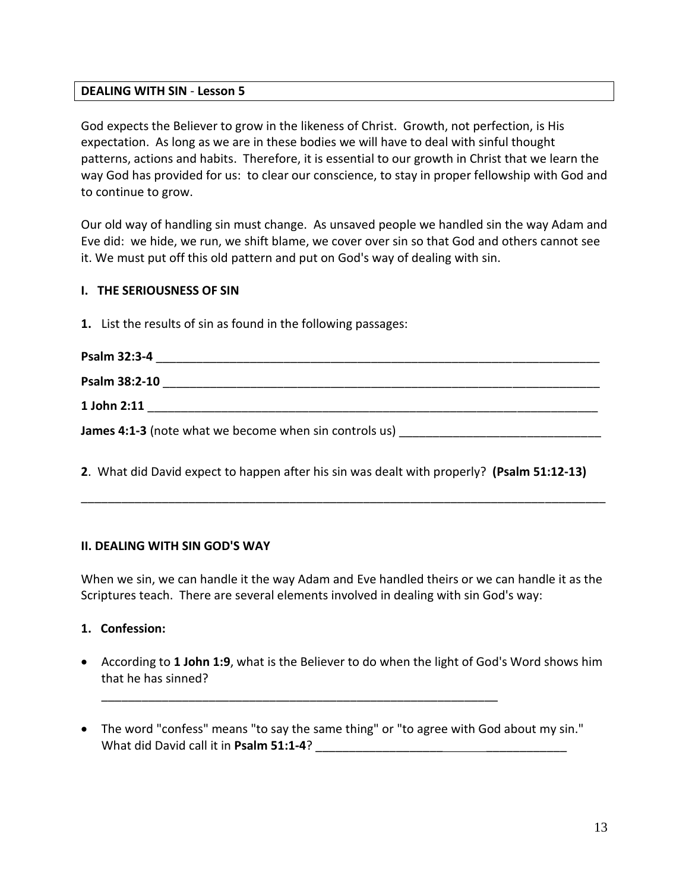#### **DEALING WITH SIN** - **Lesson 5**

God expects the Believer to grow in the likeness of Christ. Growth, not perfection, is His expectation. As long as we are in these bodies we will have to deal with sinful thought patterns, actions and habits. Therefore, it is essential to our growth in Christ that we learn the way God has provided for us: to clear our conscience, to stay in proper fellowship with God and to continue to grow.

Our old way of handling sin must change. As unsaved people we handled sin the way Adam and Eve did: we hide, we run, we shift blame, we cover over sin so that God and others cannot see it. We must put off this old pattern and put on God's way of dealing with sin.

#### **I. THE SERIOUSNESS OF SIN**

**1.** List the results of sin as found in the following passages:

| Psalm 32:3-4                                           |  |
|--------------------------------------------------------|--|
| Psalm 38:2-10                                          |  |
| 1 John 2:11                                            |  |
| James 4:1-3 (note what we become when sin controls us) |  |

**2**. What did David expect to happen after his sin was dealt with properly? **(Psalm 51:12-13)**

\_\_\_\_\_\_\_\_\_\_\_\_\_\_\_\_\_\_\_\_\_\_\_\_\_\_\_\_\_\_\_\_\_\_\_\_\_\_\_\_\_\_\_\_\_\_\_\_\_\_\_\_\_\_\_\_\_\_\_\_\_\_\_\_\_\_\_\_\_\_\_\_\_\_\_\_\_\_

#### **II. DEALING WITH SIN GOD'S WAY**

When we sin, we can handle it the way Adam and Eve handled theirs or we can handle it as the Scriptures teach. There are several elements involved in dealing with sin God's way:

#### **1. Confession:**

- According to **1 John 1:9**, what is the Believer to do when the light of God's Word shows him that he has sinned?
- The word "confess" means "to say the same thing" or "to agree with God about my sin." What did David call it in Psalm 51:1-4?

\_\_\_\_\_\_\_\_\_\_\_\_\_\_\_\_\_\_\_\_\_\_\_\_\_\_\_\_\_\_\_\_\_\_\_\_\_\_\_\_\_\_\_\_\_\_\_\_\_\_\_\_\_\_\_\_\_\_\_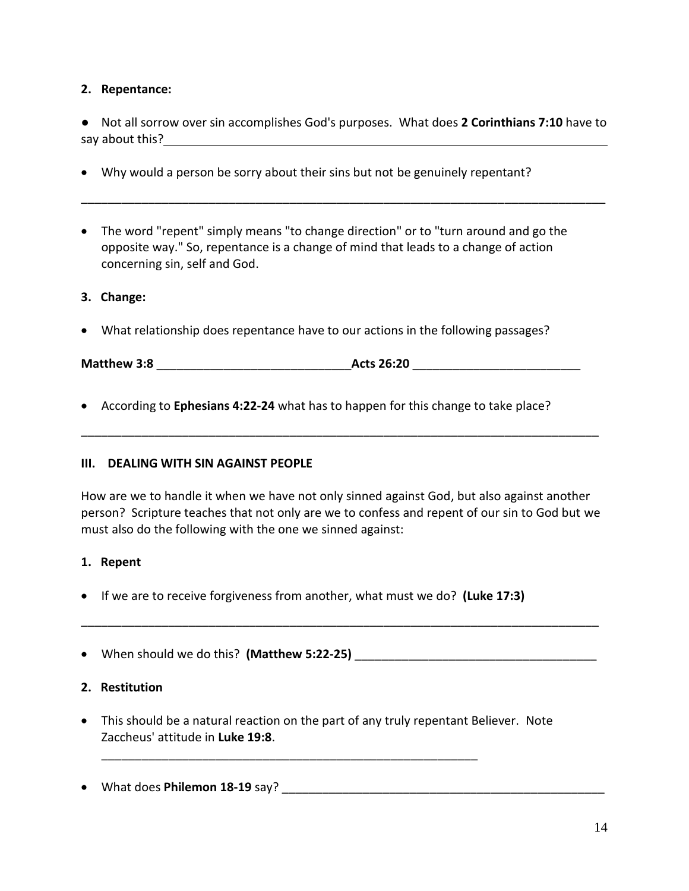### **2. Repentance:**

● Not all sorrow over sin accomplishes God's purposes. What does **2 Corinthians 7:10** have to say about this? The same state of the same state  $\sim$ 

\_\_\_\_\_\_\_\_\_\_\_\_\_\_\_\_\_\_\_\_\_\_\_\_\_\_\_\_\_\_\_\_\_\_\_\_\_\_\_\_\_\_\_\_\_\_\_\_\_\_\_\_\_\_\_\_\_\_\_\_\_\_\_\_\_\_\_\_\_\_\_\_\_\_\_\_\_\_

- Why would a person be sorry about their sins but not be genuinely repentant?
- The word "repent" simply means "to change direction" or to "turn around and go the opposite way." So, repentance is a change of mind that leads to a change of action concerning sin, self and God.

### **3. Change:**

• What relationship does repentance have to our actions in the following passages?

**Matthew 3:8** \_\_\_\_\_\_\_\_\_\_\_\_\_\_\_\_\_\_\_\_\_\_\_\_\_\_\_\_\_**Acts 26:20** \_\_\_\_\_\_\_\_\_\_\_\_\_\_\_\_\_\_\_\_\_\_\_\_\_

• According to **Ephesians 4:22-24** what has to happen for this change to take place?

#### **III. DEALING WITH SIN AGAINST PEOPLE**

How are we to handle it when we have not only sinned against God, but also against another person? Scripture teaches that not only are we to confess and repent of our sin to God but we must also do the following with the one we sinned against:

\_\_\_\_\_\_\_\_\_\_\_\_\_\_\_\_\_\_\_\_\_\_\_\_\_\_\_\_\_\_\_\_\_\_\_\_\_\_\_\_\_\_\_\_\_\_\_\_\_\_\_\_\_\_\_\_\_\_\_\_\_\_\_\_\_\_\_\_\_\_\_\_\_\_\_\_\_

#### **1. Repent**

• If we are to receive forgiveness from another, what must we do? **(Luke 17:3)**

• When should we do this? **(Matthew 5:22-25)** \_\_\_\_\_\_\_\_\_\_\_\_\_\_\_\_\_\_\_\_\_\_\_\_\_\_\_\_\_\_\_\_\_\_\_\_

\_\_\_\_\_\_\_\_\_\_\_\_\_\_\_\_\_\_\_\_\_\_\_\_\_\_\_\_\_\_\_\_\_\_\_\_\_\_\_\_\_\_\_\_\_\_\_\_\_\_\_\_\_\_\_\_\_\_\_\_\_\_\_\_\_\_\_\_\_\_\_\_\_\_\_\_\_

#### **2. Restitution**

• This should be a natural reaction on the part of any truly repentant Believer. Note Zaccheus' attitude in **Luke 19:8**.

\_\_\_\_\_\_\_\_\_\_\_\_\_\_\_\_\_\_\_\_\_\_\_\_\_\_\_\_\_\_\_\_\_\_\_\_\_\_\_\_\_\_\_\_\_\_\_\_\_\_\_\_\_\_\_\_

• What does **Philemon 18-19** say? \_\_\_\_\_\_\_\_\_\_\_\_\_\_\_\_\_\_\_\_\_\_\_\_\_\_\_\_\_\_\_\_\_\_\_\_\_\_\_\_\_\_\_\_\_\_\_\_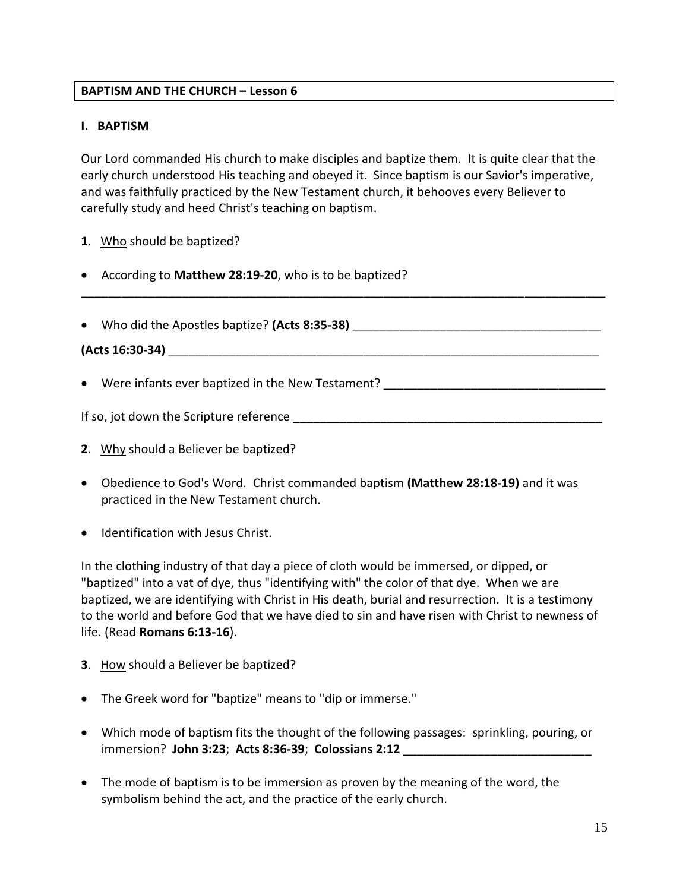### **BAPTISM AND THE CHURCH – Lesson 6**

#### **I. BAPTISM**

Our Lord commanded His church to make disciples and baptize them. It is quite clear that the early church understood His teaching and obeyed it. Since baptism is our Savior's imperative, and was faithfully practiced by the New Testament church, it behooves every Believer to carefully study and heed Christ's teaching on baptism.

\_\_\_\_\_\_\_\_\_\_\_\_\_\_\_\_\_\_\_\_\_\_\_\_\_\_\_\_\_\_\_\_\_\_\_\_\_\_\_\_\_\_\_\_\_\_\_\_\_\_\_\_\_\_\_\_\_\_\_\_\_\_\_\_\_\_\_\_\_\_\_\_\_\_\_\_\_\_

- 1. Who should be baptized?
- According to **Matthew 28:19-20**, who is to be baptized?
- Who did the Apostles baptize? (Acts 8:35-38)

**(Acts 16:30-34)** \_\_\_\_\_\_\_\_\_\_\_\_\_\_\_\_\_\_\_\_\_\_\_\_\_\_\_\_\_\_\_\_\_\_\_\_\_\_\_\_\_\_\_\_\_\_\_\_\_\_\_\_\_\_\_\_\_\_\_\_\_\_\_\_

• Were infants ever baptized in the New Testament? \_\_\_\_\_\_\_\_\_\_\_\_\_\_\_\_\_\_\_\_\_\_\_\_\_\_\_\_\_

If so, jot down the Scripture reference \_\_\_\_\_\_\_\_\_\_\_\_\_\_\_\_\_\_\_\_\_\_\_\_\_\_\_\_\_\_\_\_\_\_\_\_\_\_\_\_\_\_\_\_\_\_

- **2**. Why should a Believer be baptized?
- Obedience to God's Word. Christ commanded baptism **(Matthew 28:18-19)** and it was practiced in the New Testament church.
- Identification with Jesus Christ.

In the clothing industry of that day a piece of cloth would be immersed, or dipped, or "baptized" into a vat of dye, thus "identifying with" the color of that dye. When we are baptized, we are identifying with Christ in His death, burial and resurrection. It is a testimony to the world and before God that we have died to sin and have risen with Christ to newness of life. (Read **Romans 6:13-16**).

- **3**. How should a Believer be baptized?
- The Greek word for "baptize" means to "dip or immerse."
- Which mode of baptism fits the thought of the following passages: sprinkling, pouring, or immersion? **John 3:23**; **Acts 8:36-39**; **Colossians 2:12** \_\_\_\_\_\_\_\_\_\_\_\_\_\_\_\_\_\_\_\_\_\_\_\_\_\_\_\_
- The mode of baptism is to be immersion as proven by the meaning of the word, the symbolism behind the act, and the practice of the early church.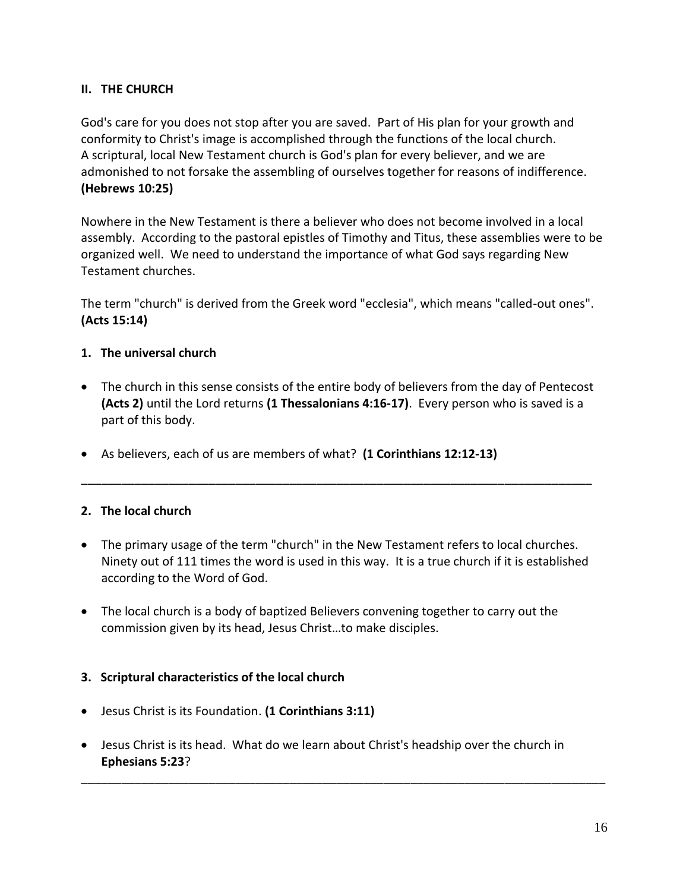## **II. THE CHURCH**

God's care for you does not stop after you are saved. Part of His plan for your growth and conformity to Christ's image is accomplished through the functions of the local church. A scriptural, local New Testament church is God's plan for every believer, and we are admonished to not forsake the assembling of ourselves together for reasons of indifference. **(Hebrews 10:25)**

Nowhere in the New Testament is there a believer who does not become involved in a local assembly. According to the pastoral epistles of Timothy and Titus, these assemblies were to be organized well. We need to understand the importance of what God says regarding New Testament churches.

The term "church" is derived from the Greek word "ecclesia", which means "called-out ones". **(Acts 15:14)**

## **1. The universal church**

- The church in this sense consists of the entire body of believers from the day of Pentecost **(Acts 2)** until the Lord returns **(1 Thessalonians 4:16-17)**. Every person who is saved is a part of this body.
- As believers, each of us are members of what? **(1 Corinthians 12:12-13)**

## **2. The local church**

• The primary usage of the term "church" in the New Testament refers to local churches. Ninety out of 111 times the word is used in this way. It is a true church if it is established according to the Word of God.

\_\_\_\_\_\_\_\_\_\_\_\_\_\_\_\_\_\_\_\_\_\_\_\_\_\_\_\_\_\_\_\_\_\_\_\_\_\_\_\_\_\_\_\_\_\_\_\_\_\_\_\_\_\_\_\_\_\_\_\_\_\_\_\_\_\_\_\_\_\_\_\_\_\_\_\_

• The local church is a body of baptized Believers convening together to carry out the commission given by its head, Jesus Christ…to make disciples.

#### **3. Scriptural characteristics of the local church**

- Jesus Christ is its Foundation. **(1 Corinthians 3:11)**
- Jesus Christ is its head. What do we learn about Christ's headship over the church in **Ephesians 5:23**?

\_\_\_\_\_\_\_\_\_\_\_\_\_\_\_\_\_\_\_\_\_\_\_\_\_\_\_\_\_\_\_\_\_\_\_\_\_\_\_\_\_\_\_\_\_\_\_\_\_\_\_\_\_\_\_\_\_\_\_\_\_\_\_\_\_\_\_\_\_\_\_\_\_\_\_\_\_\_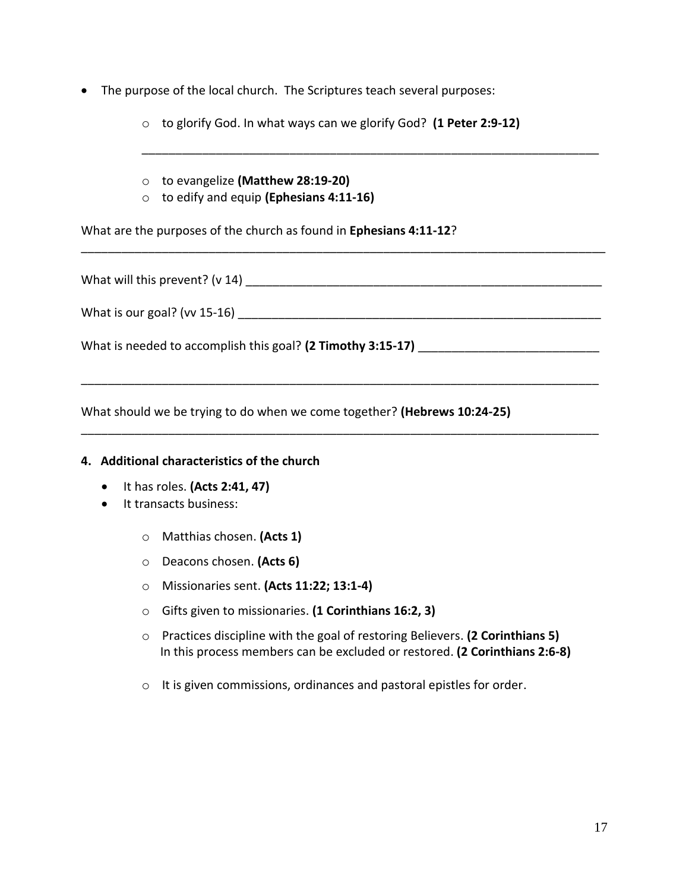• The purpose of the local church. The Scriptures teach several purposes:

o to glorify God. In what ways can we glorify God? **(1 Peter 2:9-12)**

\_\_\_\_\_\_\_\_\_\_\_\_\_\_\_\_\_\_\_\_\_\_\_\_\_\_\_\_\_\_\_\_\_\_\_\_\_\_\_\_\_\_\_\_\_\_\_\_\_\_\_\_\_\_\_\_\_\_\_\_\_\_\_\_\_\_\_\_

- o to evangelize **(Matthew 28:19-20)**
- o to edify and equip **(Ephesians 4:11-16)**

What are the purposes of the church as found in **Ephesians 4:11-12**?

| What will this prevent? (v 14)                              |
|-------------------------------------------------------------|
|                                                             |
| What is our goal? ( $vv$ 15-16)                             |
|                                                             |
| What is needed to accomplish this goal? (2 Timothy 3:15-17) |
|                                                             |

\_\_\_\_\_\_\_\_\_\_\_\_\_\_\_\_\_\_\_\_\_\_\_\_\_\_\_\_\_\_\_\_\_\_\_\_\_\_\_\_\_\_\_\_\_\_\_\_\_\_\_\_\_\_\_\_\_\_\_\_\_\_\_\_\_\_\_\_\_\_\_\_\_\_\_\_\_

\_\_\_\_\_\_\_\_\_\_\_\_\_\_\_\_\_\_\_\_\_\_\_\_\_\_\_\_\_\_\_\_\_\_\_\_\_\_\_\_\_\_\_\_\_\_\_\_\_\_\_\_\_\_\_\_\_\_\_\_\_\_\_\_\_\_\_\_\_\_\_\_\_\_\_\_\_

\_\_\_\_\_\_\_\_\_\_\_\_\_\_\_\_\_\_\_\_\_\_\_\_\_\_\_\_\_\_\_\_\_\_\_\_\_\_\_\_\_\_\_\_\_\_\_\_\_\_\_\_\_\_\_\_\_\_\_\_\_\_\_\_\_\_\_\_\_\_\_\_\_\_\_\_\_\_

What should we be trying to do when we come together? **(Hebrews 10:24-25)**

#### **4. Additional characteristics of the church**

- It has roles. **(Acts 2:41, 47)**
- It transacts business:
	- o Matthias chosen. **(Acts 1)**
	- o Deacons chosen. **(Acts 6)**
	- o Missionaries sent. **(Acts 11:22; 13:1-4)**
	- o Gifts given to missionaries. **(1 Corinthians 16:2, 3)**
	- o Practices discipline with the goal of restoring Believers. **(2 Corinthians 5)** In this process members can be excluded or restored. **(2 Corinthians 2:6-8)**
	- o It is given commissions, ordinances and pastoral epistles for order.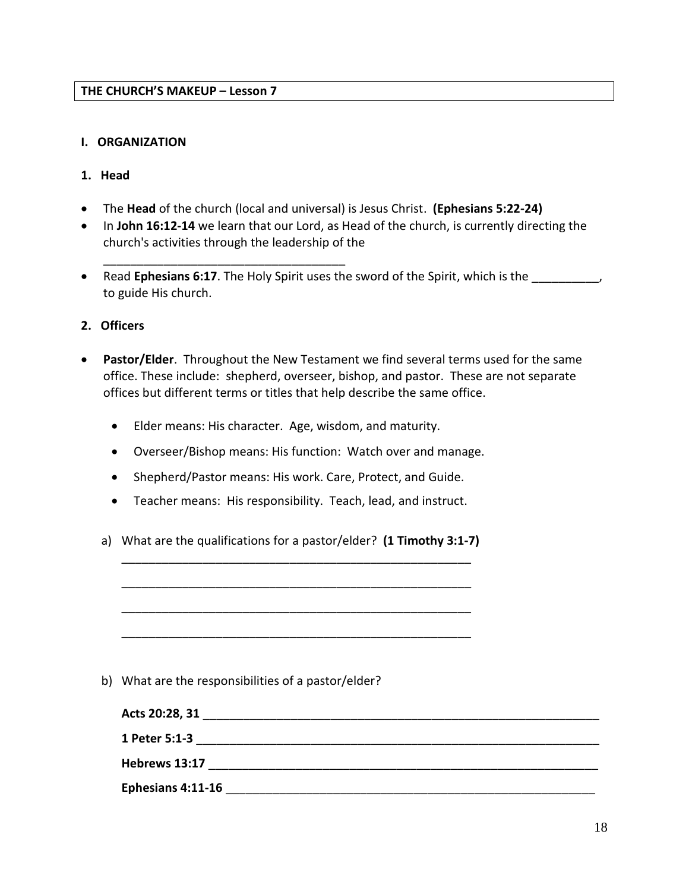\_\_\_\_\_\_\_\_\_\_\_\_\_\_\_\_\_\_\_\_\_\_\_\_\_\_\_\_\_\_\_\_\_\_\_\_

#### **I. ORGANIZATION**

#### **1. Head**

- The **Head** of the church (local and universal) is Jesus Christ. **(Ephesians 5:22-24)**
- In **John 16:12-14** we learn that our Lord, as Head of the church, is currently directing the church's activities through the leadership of the
- Read **Ephesians 6:17**. The Holy Spirit uses the sword of the Spirit, which is the \_\_\_\_\_\_\_\_\_\_, to guide His church.
- **2. Officers**
- **Pastor/Elder**. Throughout the New Testament we find several terms used for the same office. These include: shepherd, overseer, bishop, and pastor. These are not separate offices but different terms or titles that help describe the same office.
	- Elder means: His character. Age, wisdom, and maturity.
	- Overseer/Bishop means: His function: Watch over and manage.
	- Shepherd/Pastor means: His work. Care, Protect, and Guide.
	- Teacher means: His responsibility. Teach, lead, and instruct.
	- a) What are the qualifications for a pastor/elder? **(1 Timothy 3:1-7)** \_\_\_\_\_\_\_\_\_\_\_\_\_\_\_\_\_\_\_\_\_\_\_\_\_\_\_\_\_\_\_\_\_\_\_\_\_\_\_\_\_\_\_\_\_\_\_\_\_\_\_\_

\_\_\_\_\_\_\_\_\_\_\_\_\_\_\_\_\_\_\_\_\_\_\_\_\_\_\_\_\_\_\_\_\_\_\_\_\_\_\_\_\_\_\_\_\_\_\_\_\_\_\_\_

\_\_\_\_\_\_\_\_\_\_\_\_\_\_\_\_\_\_\_\_\_\_\_\_\_\_\_\_\_\_\_\_\_\_\_\_\_\_\_\_\_\_\_\_\_\_\_\_\_\_\_\_

\_\_\_\_\_\_\_\_\_\_\_\_\_\_\_\_\_\_\_\_\_\_\_\_\_\_\_\_\_\_\_\_\_\_\_\_\_\_\_\_\_\_\_\_\_\_\_\_\_\_\_\_

b) What are the responsibilities of a pastor/elder?

| Acts 20:28, 31    |  |  |
|-------------------|--|--|
| 1 Peter 5:1-3     |  |  |
| Hebrews 13:17     |  |  |
| Ephesians 4:11-16 |  |  |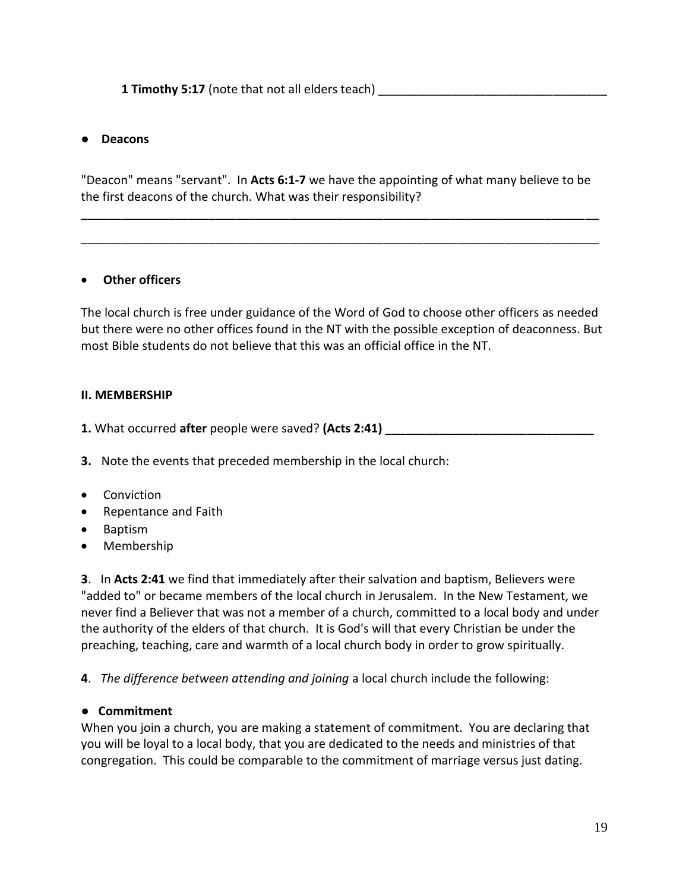### ● **Deacons**

"Deacon" means "servant". In **Acts 6:1-7** we have the appointing of what many believe to be the first deacons of the church. What was their responsibility?

\_\_\_\_\_\_\_\_\_\_\_\_\_\_\_\_\_\_\_\_\_\_\_\_\_\_\_\_\_\_\_\_\_\_\_\_\_\_\_\_\_\_\_\_\_\_\_\_\_\_\_\_\_\_\_\_\_\_\_\_\_\_\_\_\_\_\_\_\_\_\_\_\_\_\_\_\_

\_\_\_\_\_\_\_\_\_\_\_\_\_\_\_\_\_\_\_\_\_\_\_\_\_\_\_\_\_\_\_\_\_\_\_\_\_\_\_\_\_\_\_\_\_\_\_\_\_\_\_\_\_\_\_\_\_\_\_\_\_\_\_\_\_\_\_\_\_\_\_\_\_\_\_\_\_

#### • **Other officers**

The local church is free under guidance of the Word of God to choose other officers as needed but there were no other offices found in the NT with the possible exception of deaconness. But most Bible students do not believe that this was an official office in the NT.

#### **II. MEMBERSHIP**

**1.** What occurred **after** people were saved? **(Acts 2:41)** \_\_\_\_\_\_\_\_\_\_\_\_\_\_\_\_\_\_\_\_\_\_\_\_\_\_\_\_\_\_\_

**3.** Note the events that preceded membership in the local church:

- Conviction
- Repentance and Faith
- Baptism
- Membership

**3**. In **Acts 2:41** we find that immediately after their salvation and baptism, Believers were "added to" or became members of the local church in Jerusalem. In the New Testament, we never find a Believer that was not a member of a church, committed to a local body and under the authority of the elders of that church. It is God's will that every Christian be under the preaching, teaching, care and warmth of a local church body in order to grow spiritually.

**4**. *The difference between attending and joining* a local church include the following:

#### **● Commitment**

When you join a church, you are making a statement of commitment. You are declaring that you will be loyal to a local body, that you are dedicated to the needs and ministries of that congregation. This could be comparable to the commitment of marriage versus just dating.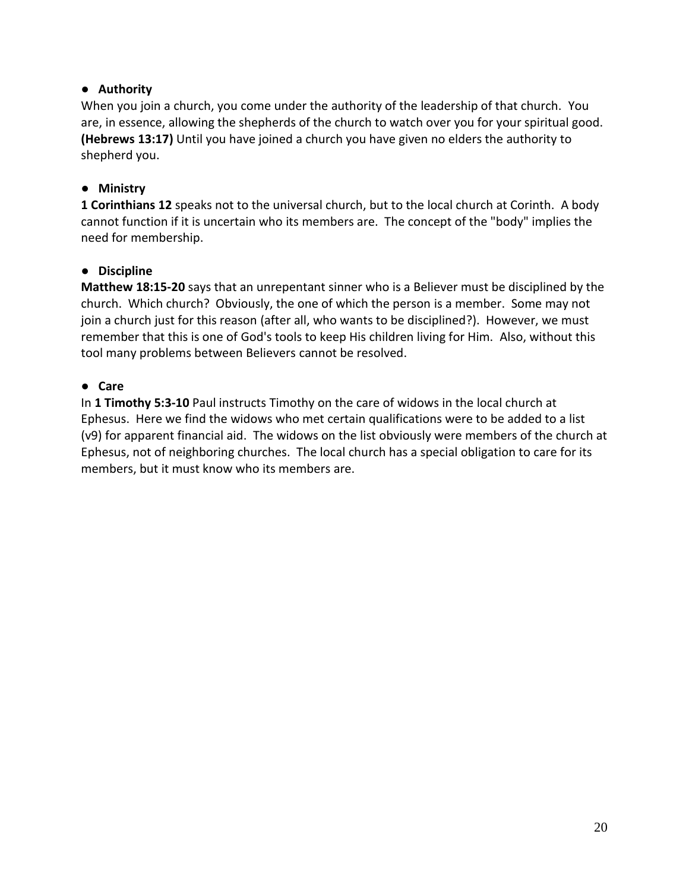## **● Authority**

When you join a church, you come under the authority of the leadership of that church. You are, in essence, allowing the shepherds of the church to watch over you for your spiritual good. **(Hebrews 13:17)** Until you have joined a church you have given no elders the authority to shepherd you.

## **● Ministry**

**1 Corinthians 12** speaks not to the universal church, but to the local church at Corinth. A body cannot function if it is uncertain who its members are. The concept of the "body" implies the need for membership.

## **● Discipline**

**Matthew 18:15-20** says that an unrepentant sinner who is a Believer must be disciplined by the church. Which church? Obviously, the one of which the person is a member. Some may not join a church just for this reason (after all, who wants to be disciplined?). However, we must remember that this is one of God's tools to keep His children living for Him. Also, without this tool many problems between Believers cannot be resolved.

## **● Care**

In **1 Timothy 5:3-10** Paul instructs Timothy on the care of widows in the local church at Ephesus. Here we find the widows who met certain qualifications were to be added to a list (v9) for apparent financial aid. The widows on the list obviously were members of the church at Ephesus, not of neighboring churches. The local church has a special obligation to care for its members, but it must know who its members are.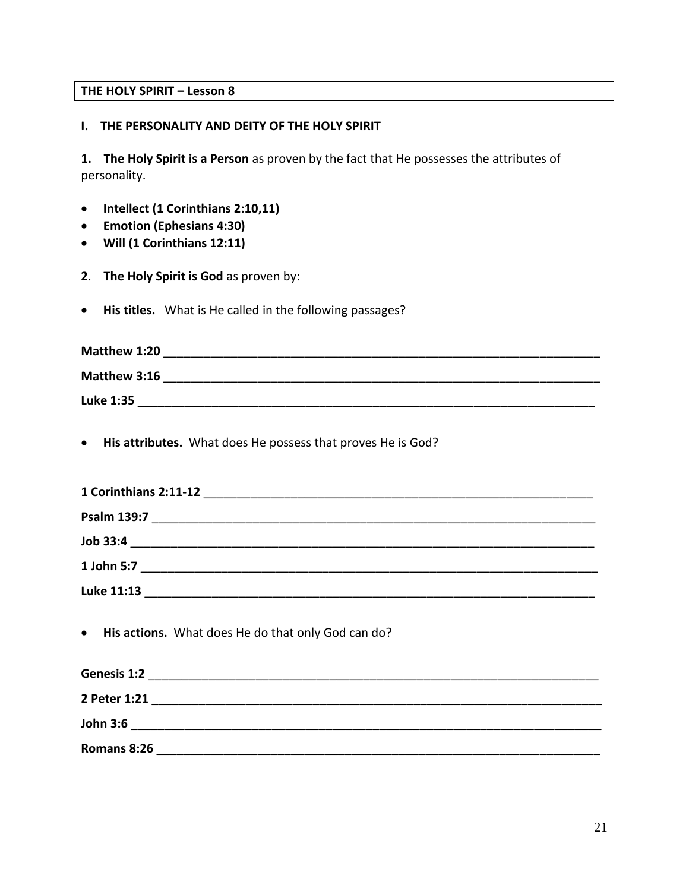## **THE HOLY SPIRIT – Lesson 8**

#### **I. THE PERSONALITY AND DEITY OF THE HOLY SPIRIT**

**1. The Holy Spirit is a Person** as proven by the fact that He possesses the attributes of personality.

- **Intellect (1 Corinthians 2:10,11)**
- **Emotion (Ephesians 4:30)**
- **Will (1 Corinthians 12:11)**
- **2**. **The Holy Spirit is God** as proven by:
- **His titles.** What is He called in the following passages?

| Matthew 1:20 |  |
|--------------|--|
| Matthew 3:16 |  |
| Luke 1:35    |  |

• **His attributes.** What does He possess that proves He is God?

| 1 Corinthians 2:11-12 |  |
|-----------------------|--|
| <b>Psalm 139:7</b>    |  |
| Job 33:4              |  |
| 1 John 5:7            |  |
| Luke 11:13            |  |

• **His actions.** What does He do that only God can do?

| Genesis 1:2     |  |  |
|-----------------|--|--|
| 2 Peter 1:21    |  |  |
| <b>John 3:6</b> |  |  |
| Romans 8:26     |  |  |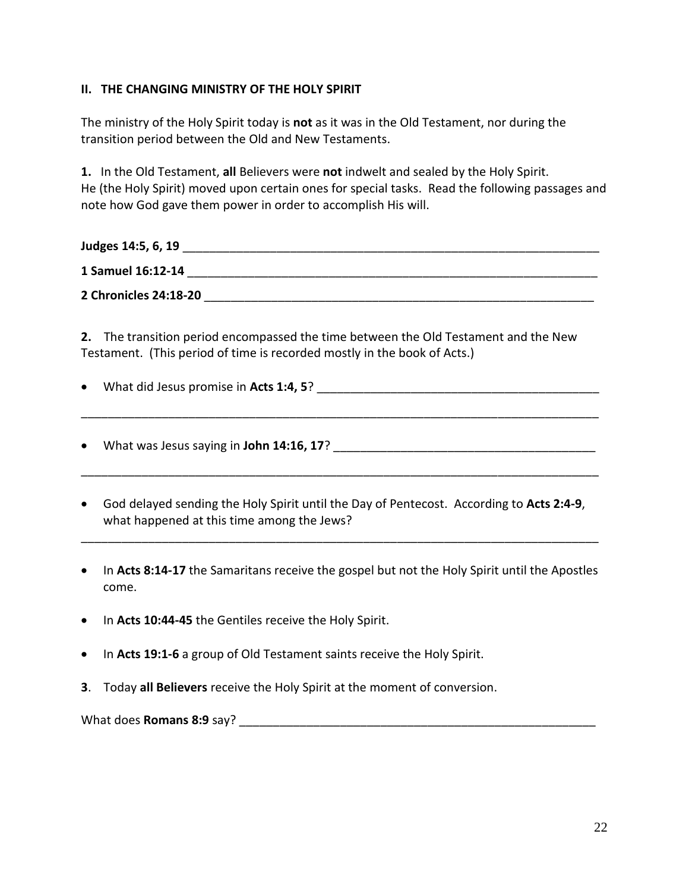## **II. THE CHANGING MINISTRY OF THE HOLY SPIRIT**

The ministry of the Holy Spirit today is **not** as it was in the Old Testament, nor during the transition period between the Old and New Testaments.

**1.** In the Old Testament, **all** Believers were **not** indwelt and sealed by the Holy Spirit. He (the Holy Spirit) moved upon certain ones for special tasks. Read the following passages and note how God gave them power in order to accomplish His will.

| Judges 14:5, 6, 19    |  |
|-----------------------|--|
| 1 Samuel 16:12-14     |  |
| 2 Chronicles 24:18-20 |  |

**2.** The transition period encompassed the time between the Old Testament and the New Testament. (This period of time is recorded mostly in the book of Acts.)

\_\_\_\_\_\_\_\_\_\_\_\_\_\_\_\_\_\_\_\_\_\_\_\_\_\_\_\_\_\_\_\_\_\_\_\_\_\_\_\_\_\_\_\_\_\_\_\_\_\_\_\_\_\_\_\_\_\_\_\_\_\_\_\_\_\_\_\_\_\_\_\_\_\_\_\_\_

\_\_\_\_\_\_\_\_\_\_\_\_\_\_\_\_\_\_\_\_\_\_\_\_\_\_\_\_\_\_\_\_\_\_\_\_\_\_\_\_\_\_\_\_\_\_\_\_\_\_\_\_\_\_\_\_\_\_\_\_\_\_\_\_\_\_\_\_\_\_\_\_\_\_\_\_\_

- What did Jesus promise in **Acts 1:4, 5**? \_\_\_\_\_\_\_\_\_\_\_\_\_\_\_\_\_\_\_\_\_\_\_\_\_\_\_\_\_\_\_\_\_\_\_\_\_\_\_\_\_\_
- What was Jesus saying in John 14:16, 17?
- God delayed sending the Holy Spirit until the Day of Pentecost. According to **Acts 2:4-9**, what happened at this time among the Jews?
- In **Acts 8:14-17** the Samaritans receive the gospel but not the Holy Spirit until the Apostles come.

\_\_\_\_\_\_\_\_\_\_\_\_\_\_\_\_\_\_\_\_\_\_\_\_\_\_\_\_\_\_\_\_\_\_\_\_\_\_\_\_\_\_\_\_\_\_\_\_\_\_\_\_\_\_\_\_\_\_\_\_\_\_\_\_\_\_\_\_\_\_\_\_\_\_\_\_\_

- In **Acts 10:44-45** the Gentiles receive the Holy Spirit.
- In **Acts 19:1-6** a group of Old Testament saints receive the Holy Spirit.
- **3**. Today **all Believers** receive the Holy Spirit at the moment of conversion.

What does **Romans 8:9** say? \_\_\_\_\_\_\_\_\_\_\_\_\_\_\_\_\_\_\_\_\_\_\_\_\_\_\_\_\_\_\_\_\_\_\_\_\_\_\_\_\_\_\_\_\_\_\_\_\_\_\_\_\_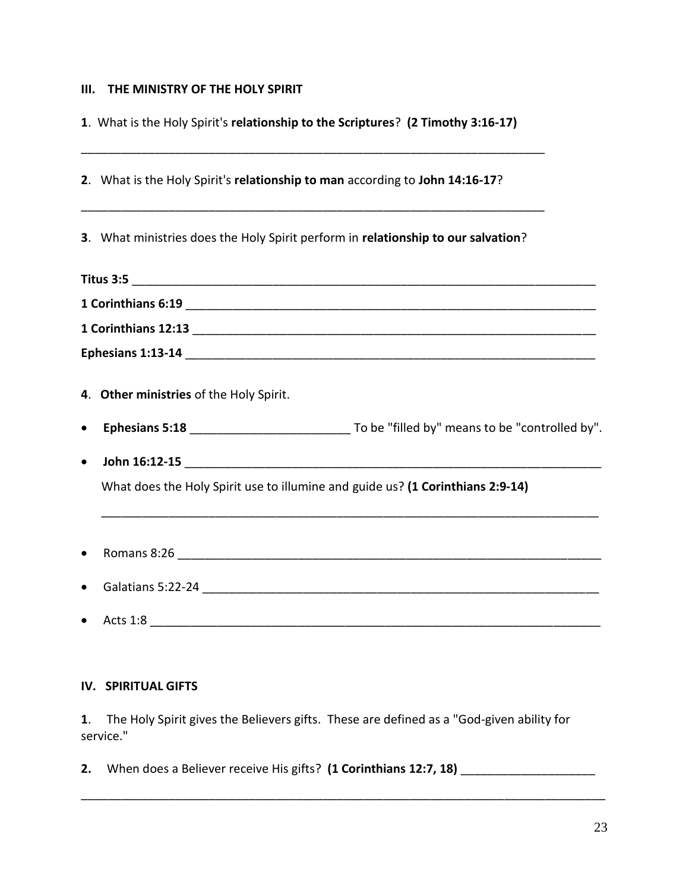#### **III. THE MINISTRY OF THE HOLY SPIRIT**

**1**. What is the Holy Spirit's **relationship to the Scriptures**? **(2 Timothy 3:16-17)**

|           | 2. What is the Holy Spirit's relationship to man according to John 14:16-17?      |  |
|-----------|-----------------------------------------------------------------------------------|--|
|           | 3. What ministries does the Holy Spirit perform in relationship to our salvation? |  |
|           |                                                                                   |  |
|           |                                                                                   |  |
|           |                                                                                   |  |
|           |                                                                                   |  |
|           | 4. Other ministries of the Holy Spirit.                                           |  |
| $\bullet$ |                                                                                   |  |
| $\bullet$ |                                                                                   |  |
|           | What does the Holy Spirit use to illumine and guide us? (1 Corinthians 2:9-14)    |  |
| $\bullet$ |                                                                                   |  |
|           |                                                                                   |  |
|           | Acts 1:8                                                                          |  |

#### **IV. SPIRITUAL GIFTS**

**1**. The Holy Spirit gives the Believers gifts. These are defined as a "God-given ability for service."

**2.** When does a Believer receive His gifts? **(1 Corinthians 12:7, 18)** \_\_\_\_\_\_\_\_\_\_\_\_\_\_\_\_\_\_\_\_

\_\_\_\_\_\_\_\_\_\_\_\_\_\_\_\_\_\_\_\_\_\_\_\_\_\_\_\_\_\_\_\_\_\_\_\_\_\_\_\_\_\_\_\_\_\_\_\_\_\_\_\_\_\_\_\_\_\_\_\_\_\_\_\_\_\_\_\_\_\_\_\_\_\_\_\_\_\_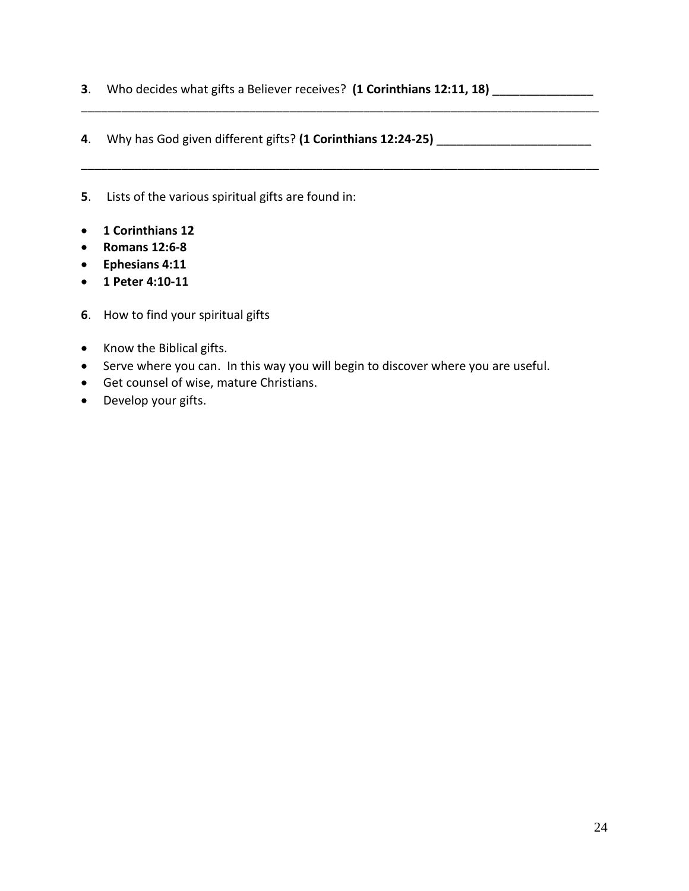**3**. Who decides what gifts a Believer receives? **(1 Corinthians 12:11, 18)** \_\_\_\_\_\_\_\_\_\_\_\_\_\_\_

\_\_\_\_\_\_\_\_\_\_\_\_\_\_\_\_\_\_\_\_\_\_\_\_\_\_\_\_\_\_\_\_\_\_\_\_\_\_\_\_\_\_\_\_\_\_\_\_\_\_\_\_\_\_\_\_\_\_\_\_\_\_\_\_\_\_\_\_\_\_\_\_\_\_\_\_\_

\_\_\_\_\_\_\_\_\_\_\_\_\_\_\_\_\_\_\_\_\_\_\_\_\_\_\_\_\_\_\_\_\_\_\_\_\_\_\_\_\_\_\_\_\_\_\_\_\_\_\_\_\_\_\_\_\_\_\_\_\_\_\_\_\_\_\_\_\_\_\_\_\_\_\_\_\_

- **4**. Why has God given different gifts? **(1 Corinthians 12:24-25)** \_\_\_\_\_\_\_\_\_\_\_\_\_\_\_\_\_\_\_\_\_\_\_
- **5**. Lists of the various spiritual gifts are found in:
- **1 Corinthians 12**
- **Romans 12:6-8**
- **Ephesians 4:11**
- **1 Peter 4:10-11**
- **6**. How to find your spiritual gifts
- Know the Biblical gifts.
- Serve where you can. In this way you will begin to discover where you are useful.
- Get counsel of wise, mature Christians.
- Develop your gifts.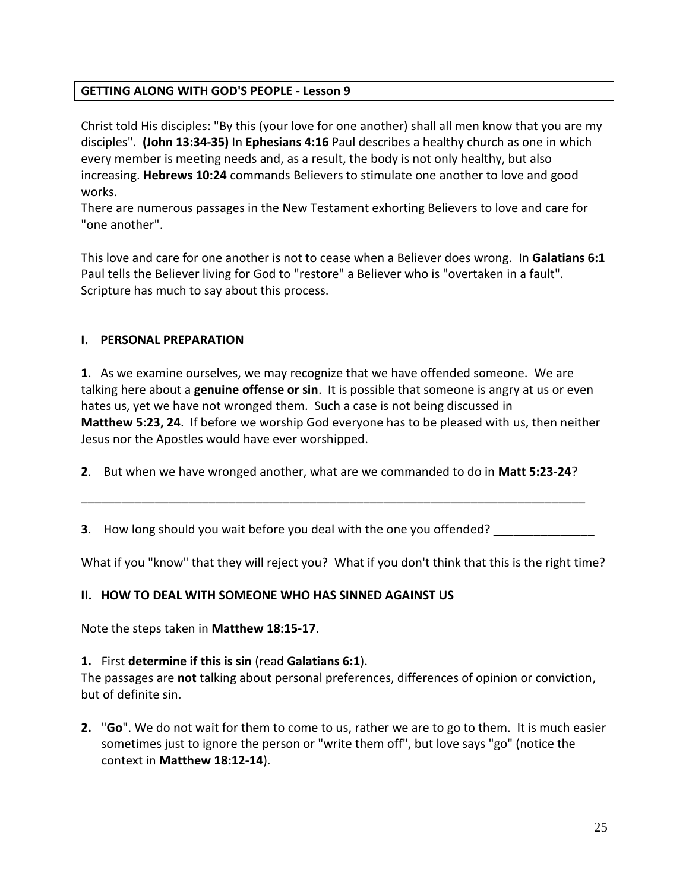## **GETTING ALONG WITH GOD'S PEOPLE** - **Lesson 9**

Christ told His disciples: "By this (your love for one another) shall all men know that you are my disciples". **(John 13:34-35)** In **Ephesians 4:16** Paul describes a healthy church as one in which every member is meeting needs and, as a result, the body is not only healthy, but also increasing. **Hebrews 10:24** commands Believers to stimulate one another to love and good works.

There are numerous passages in the New Testament exhorting Believers to love and care for "one another".

This love and care for one another is not to cease when a Believer does wrong. In **Galatians 6:1** Paul tells the Believer living for God to "restore" a Believer who is "overtaken in a fault". Scripture has much to say about this process.

### **I. PERSONAL PREPARATION**

**1**. As we examine ourselves, we may recognize that we have offended someone. We are talking here about a **genuine offense or sin**. It is possible that someone is angry at us or even hates us, yet we have not wronged them. Such a case is not being discussed in **Matthew 5:23, 24**. If before we worship God everyone has to be pleased with us, then neither Jesus nor the Apostles would have ever worshipped.

**2**. But when we have wronged another, what are we commanded to do in **Matt 5:23-24**?

**3**. How long should you wait before you deal with the one you offended?

\_\_\_\_\_\_\_\_\_\_\_\_\_\_\_\_\_\_\_\_\_\_\_\_\_\_\_\_\_\_\_\_\_\_\_\_\_\_\_\_\_\_\_\_\_\_\_\_\_\_\_\_\_\_\_\_\_\_\_\_\_\_\_\_\_\_\_\_\_\_\_\_\_\_\_

What if you "know" that they will reject you? What if you don't think that this is the right time?

## **II. HOW TO DEAL WITH SOMEONE WHO HAS SINNED AGAINST US**

Note the steps taken in **Matthew 18:15-17**.

#### **1.** First **determine if this is sin** (read **Galatians 6:1**).

The passages are **not** talking about personal preferences, differences of opinion or conviction, but of definite sin.

**2.** "**Go**". We do not wait for them to come to us, rather we are to go to them. It is much easier sometimes just to ignore the person or "write them off", but love says "go" (notice the context in **Matthew 18:12-14**).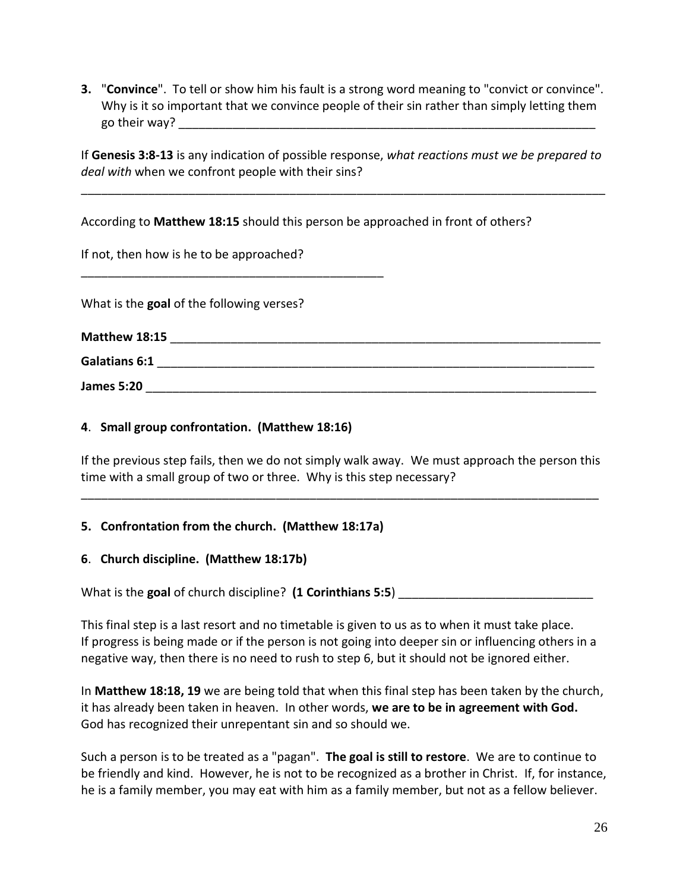**3.** "**Convince**". To tell or show him his fault is a strong word meaning to "convict or convince". Why is it so important that we convince people of their sin rather than simply letting them go their way?

If **Genesis 3:8-13** is any indication of possible response, *what reactions must we be prepared to deal with* when we confront people with their sins?

\_\_\_\_\_\_\_\_\_\_\_\_\_\_\_\_\_\_\_\_\_\_\_\_\_\_\_\_\_\_\_\_\_\_\_\_\_\_\_\_\_\_\_\_\_\_\_\_\_\_\_\_\_\_\_\_\_\_\_\_\_\_\_\_\_\_\_\_\_\_\_\_\_\_\_\_\_\_

According to **Matthew 18:15** should this person be approached in front of others?

If not, then how is he to be approached?

\_\_\_\_\_\_\_\_\_\_\_\_\_\_\_\_\_\_\_\_\_\_\_\_\_\_\_\_\_\_\_\_\_\_\_\_\_\_\_\_\_\_\_\_\_

What is the **goal** of the following verses?

| Matthew 18:15        |  |
|----------------------|--|
| <b>Galatians 6:1</b> |  |
| <b>James 5:20</b>    |  |

## **4**. **Small group confrontation. (Matthew 18:16)**

If the previous step fails, then we do not simply walk away. We must approach the person this time with a small group of two or three. Why is this step necessary?

\_\_\_\_\_\_\_\_\_\_\_\_\_\_\_\_\_\_\_\_\_\_\_\_\_\_\_\_\_\_\_\_\_\_\_\_\_\_\_\_\_\_\_\_\_\_\_\_\_\_\_\_\_\_\_\_\_\_\_\_\_\_\_\_\_\_\_\_\_\_\_\_\_\_\_\_\_

## **5. Confrontation from the church. (Matthew 18:17a)**

## **6**. **Church discipline. (Matthew 18:17b)**

What is the goal of church discipline? (1 Corinthians 5:5)

This final step is a last resort and no timetable is given to us as to when it must take place. If progress is being made or if the person is not going into deeper sin or influencing others in a negative way, then there is no need to rush to step 6, but it should not be ignored either.

In **Matthew 18:18, 19** we are being told that when this final step has been taken by the church, it has already been taken in heaven. In other words, **we are to be in agreement with God.**  God has recognized their unrepentant sin and so should we.

Such a person is to be treated as a "pagan". **The goal is still to restore**. We are to continue to be friendly and kind. However, he is not to be recognized as a brother in Christ. If, for instance, he is a family member, you may eat with him as a family member, but not as a fellow believer.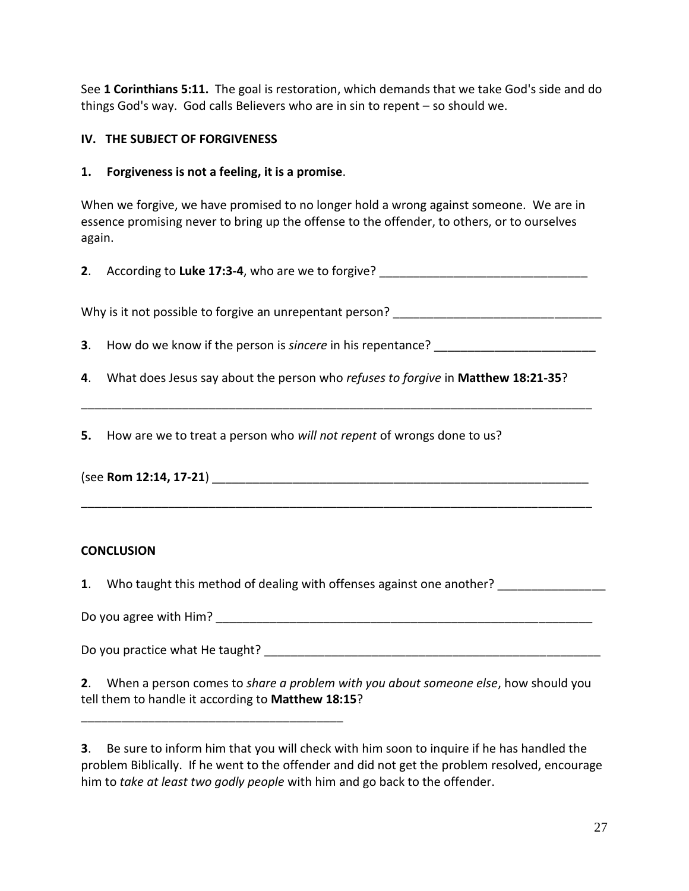See **1 Corinthians 5:11.** The goal is restoration, which demands that we take God's side and do things God's way. God calls Believers who are in sin to repent – so should we.

## **IV. THE SUBJECT OF FORGIVENESS**

### **1. Forgiveness is not a feeling, it is a promise**.

\_\_\_\_\_\_\_\_\_\_\_\_\_\_\_\_\_\_\_\_\_\_\_\_\_\_\_\_\_\_\_\_\_\_\_\_\_\_\_

When we forgive, we have promised to no longer hold a wrong against someone. We are in essence promising never to bring up the offense to the offender, to others, or to ourselves again.

**2**. According to Luke 17:3-4, who are we to forgive?

Why is it not possible to forgive an unrepentant person? \_\_\_\_\_\_\_\_\_\_\_\_\_\_\_\_\_\_\_\_\_\_\_\_\_\_\_\_\_\_\_

**3**. How do we know if the person is *sincere* in his repentance?

**4**. What does Jesus say about the person who *refuses to forgive* in **Matthew 18:21-35**?

\_\_\_\_\_\_\_\_\_\_\_\_\_\_\_\_\_\_\_\_\_\_\_\_\_\_\_\_\_\_\_\_\_\_\_\_\_\_\_\_\_\_\_\_\_\_\_\_\_\_\_\_\_\_\_\_\_\_\_\_\_\_\_\_\_\_\_\_\_\_\_\_\_\_\_\_

\_\_\_\_\_\_\_\_\_\_\_\_\_\_\_\_\_\_\_\_\_\_\_\_\_\_\_\_\_\_\_\_\_\_\_\_\_\_\_\_\_\_\_\_\_\_\_\_\_\_\_\_\_\_\_\_\_\_\_\_\_\_\_\_\_\_\_\_\_\_\_\_\_\_\_\_

**5.** How are we to treat a person who *will not repent* of wrongs done to us?

(see **Rom 12:14, 17-21**)

## **CONCLUSION**

**1**. Who taught this method of dealing with offenses against one another?

Do you agree with Him?  $\qquad \qquad \qquad \qquad \qquad \qquad$ 

Do you practice what He taught?

**2**. When a person comes to *share a problem with you about someone else*, how should you tell them to handle it according to **Matthew 18:15**?

**3**. Be sure to inform him that you will check with him soon to inquire if he has handled the problem Biblically. If he went to the offender and did not get the problem resolved, encourage him to *take at least two godly people* with him and go back to the offender.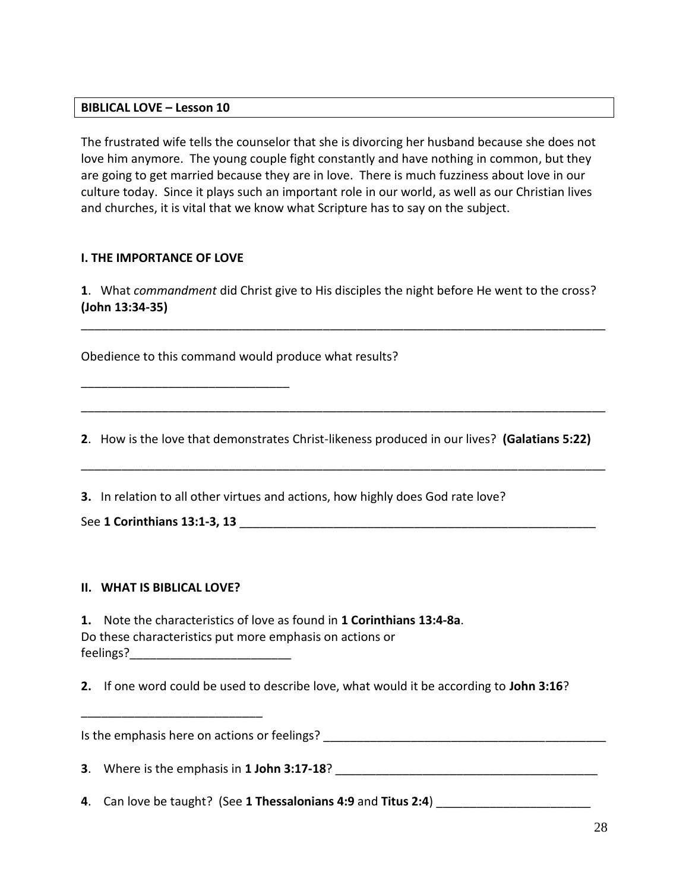#### **BIBLICAL LOVE – Lesson 10**

The frustrated wife tells the counselor that she is divorcing her husband because she does not love him anymore. The young couple fight constantly and have nothing in common, but they are going to get married because they are in love. There is much fuzziness about love in our culture today. Since it plays such an important role in our world, as well as our Christian lives and churches, it is vital that we know what Scripture has to say on the subject.

### **I. THE IMPORTANCE OF LOVE**

\_\_\_\_\_\_\_\_\_\_\_\_\_\_\_\_\_\_\_\_\_\_\_\_\_\_\_\_\_\_\_

**1**. What *commandment* did Christ give to His disciples the night before He went to the cross? **(John 13:34-35)**

\_\_\_\_\_\_\_\_\_\_\_\_\_\_\_\_\_\_\_\_\_\_\_\_\_\_\_\_\_\_\_\_\_\_\_\_\_\_\_\_\_\_\_\_\_\_\_\_\_\_\_\_\_\_\_\_\_\_\_\_\_\_\_\_\_\_\_\_\_\_\_\_\_\_\_\_\_\_

Obedience to this command would produce what results?

**2**. How is the love that demonstrates Christ-likeness produced in our lives? **(Galatians 5:22)**

\_\_\_\_\_\_\_\_\_\_\_\_\_\_\_\_\_\_\_\_\_\_\_\_\_\_\_\_\_\_\_\_\_\_\_\_\_\_\_\_\_\_\_\_\_\_\_\_\_\_\_\_\_\_\_\_\_\_\_\_\_\_\_\_\_\_\_\_\_\_\_\_\_\_\_\_\_\_

\_\_\_\_\_\_\_\_\_\_\_\_\_\_\_\_\_\_\_\_\_\_\_\_\_\_\_\_\_\_\_\_\_\_\_\_\_\_\_\_\_\_\_\_\_\_\_\_\_\_\_\_\_\_\_\_\_\_\_\_\_\_\_\_\_\_\_\_\_\_\_\_\_\_\_\_\_\_

**3.** In relation to all other virtues and actions, how highly does God rate love?

See **1 Corinthians 13:1-3, 13** \_\_\_\_\_\_\_\_\_\_\_\_\_\_\_\_\_\_\_\_\_\_\_\_\_\_\_\_\_\_\_\_\_\_\_\_\_\_\_\_\_\_\_\_\_\_\_\_\_\_\_\_\_

#### **II. WHAT IS BIBLICAL LOVE?**

\_\_\_\_\_\_\_\_\_\_\_\_\_\_\_\_\_\_\_\_\_\_\_\_\_\_\_

| 1. Note the characteristics of love as found in 1 Corinthians 13:4-8a. |
|------------------------------------------------------------------------|
| Do these characteristics put more emphasis on actions or               |
| feelings?                                                              |

**2.** If one word could be used to describe love, what would it be according to **John 3:16**?

Is the emphasis here on actions or feelings?  $\blacksquare$ 

**3**. Where is the emphasis in **1 John 3:17-18**?

**4**. Can love be taught? (See **1 Thessalonians 4:9** and **Titus 2:4**) \_\_\_\_\_\_\_\_\_\_\_\_\_\_\_\_\_\_\_\_\_\_\_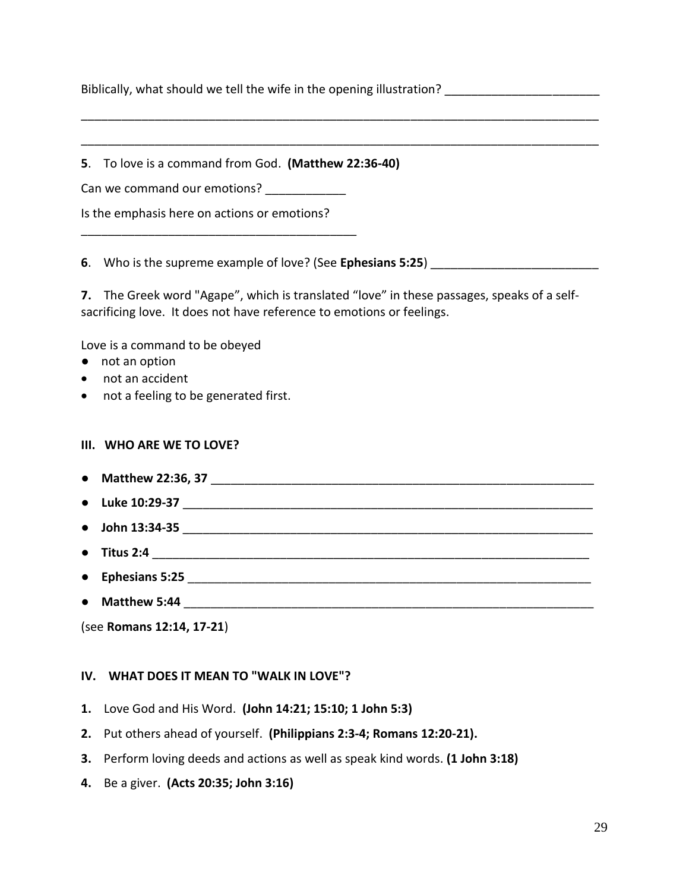Biblically, what should we tell the wife in the opening illustration?

**5**. To love is a command from God. **(Matthew 22:36-40)**

Can we command our emotions?

Is the emphasis here on actions or emotions?

\_\_\_\_\_\_\_\_\_\_\_\_\_\_\_\_\_\_\_\_\_\_\_\_\_\_\_\_\_\_\_\_\_\_\_\_\_\_\_\_\_

**6**. Who is the supreme example of love? (See **Ephesians 5:25**)

**7.** The Greek word "Agape", which is translated "love" in these passages, speaks of a selfsacrificing love. It does not have reference to emotions or feelings.

\_\_\_\_\_\_\_\_\_\_\_\_\_\_\_\_\_\_\_\_\_\_\_\_\_\_\_\_\_\_\_\_\_\_\_\_\_\_\_\_\_\_\_\_\_\_\_\_\_\_\_\_\_\_\_\_\_\_\_\_\_\_\_\_\_\_\_\_\_\_\_\_\_\_\_\_\_

\_\_\_\_\_\_\_\_\_\_\_\_\_\_\_\_\_\_\_\_\_\_\_\_\_\_\_\_\_\_\_\_\_\_\_\_\_\_\_\_\_\_\_\_\_\_\_\_\_\_\_\_\_\_\_\_\_\_\_\_\_\_\_\_\_\_\_\_\_\_\_\_\_\_\_\_\_

Love is a command to be obeyed

- not an option
- not an accident
- not a feeling to be generated first.

#### **III. WHO ARE WE TO LOVE?**

- **Matthew 22:36, 37** \_\_\_\_\_\_\_\_\_\_\_\_\_\_\_\_\_\_\_\_\_\_\_\_\_\_\_\_\_\_\_\_\_\_\_\_\_\_\_\_\_\_\_\_\_\_\_\_\_\_\_\_\_\_\_\_\_
- Luke 10:29-37
- **John 13:34-35** \_\_\_\_\_\_\_\_\_\_\_\_\_\_\_\_\_\_\_\_\_\_\_\_\_\_\_\_\_\_\_\_\_\_\_\_\_\_\_\_\_\_\_\_\_\_\_\_\_\_\_\_\_\_\_\_\_\_\_\_\_
- **Titus 2:4** \_\_\_\_\_\_\_\_\_\_\_\_\_\_\_\_\_\_\_\_\_\_\_\_\_\_\_\_\_\_\_\_\_\_\_\_\_\_\_\_\_\_\_\_\_\_\_\_\_\_\_\_\_\_\_\_\_\_\_\_\_\_\_\_\_
- **Ephesians 5:25** \_\_\_\_\_\_\_\_\_\_\_\_\_\_\_\_\_\_\_\_\_\_\_\_\_\_\_\_\_\_\_\_\_\_\_\_\_\_\_\_\_\_\_\_\_\_\_\_\_\_\_\_\_\_\_\_\_\_\_\_
- **Matthew 5:44** \_\_\_\_\_\_\_\_\_\_\_\_\_\_\_\_\_\_\_\_\_\_\_\_\_\_\_\_\_\_\_\_\_\_\_\_\_\_\_\_\_\_\_\_\_\_\_\_\_\_\_\_\_\_\_\_\_\_\_\_\_

(see **Romans 12:14, 17-21**)

#### **IV. WHAT DOES IT MEAN TO "WALK IN LOVE"?**

- **1.** Love God and His Word. **(John 14:21; 15:10; 1 John 5:3)**
- **2.** Put others ahead of yourself. **(Philippians 2:3-4; Romans 12:20-21).**
- **3.** Perform loving deeds and actions as well as speak kind words. **(1 John 3:18)**
- **4.** Be a giver. **(Acts 20:35; John 3:16)**